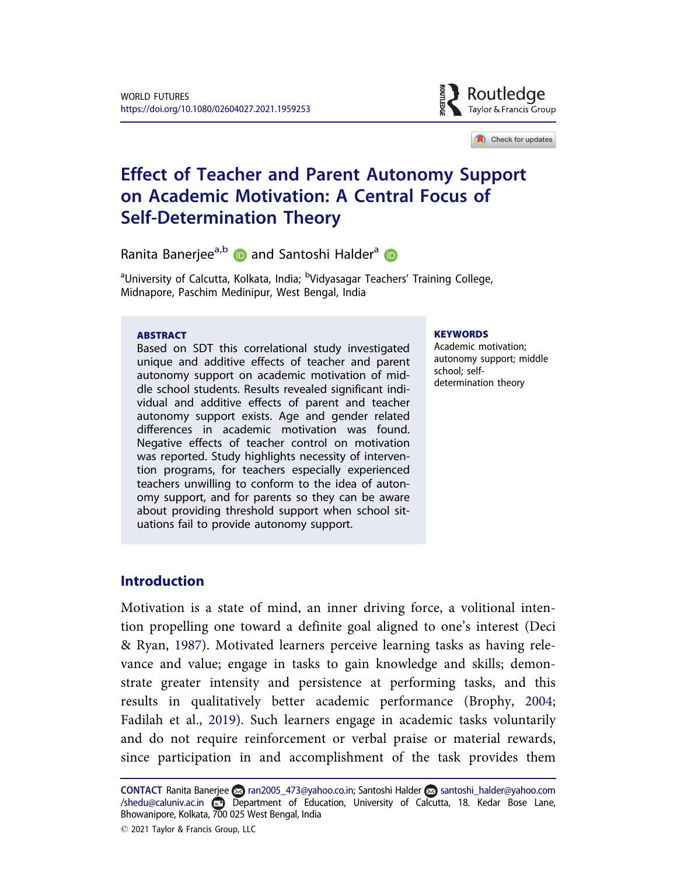

Check for updates

# Effect of Teacher and Parent Autonomy Support on Academic Motivation: A Central Focus of Self-Determination Theory

Ranita Banerjee<sup>a,b</sup> and Santoshi Halder<sup>a</sup> **D** 

<sup>a</sup>University of Calcutta, Kolkata, India; <sup>b</sup>Vidyasagar Teachers' Training College, Midnapore, Paschim Medinipur, West Bengal, India

#### ABSTRACT

Based on SDT this correlational study investigated unique and additive effects of teacher and parent autonomy support on academic motivation of middle school students. Results revealed significant individual and additive effects of parent and teacher autonomy support exists. Age and gender related differences in academic motivation was found. Negative effects of teacher control on motivation was reported. Study highlights necessity of intervention programs, for teachers especially experienced teachers unwilling to conform to the idea of autonomy support, and for parents so they can be aware about providing threshold support when school situations fail to provide autonomy support.

#### **KEYWORDS**

Academic motivation; autonomy support; middle school; selfdetermination theory

### Introduction

Motivation is a state of mind, an inner driving force, a volitional intention propelling one toward a definite goal aligned to one's interest (Deci & Ryan, 1987). Motivated learners perceive learning tasks as having relevance and value; engage in tasks to gain knowledge and skills; demonstrate greater intensity and persistence at performing tasks, and this results in qualitatively better academic performance (Brophy, 2004; Fadilah et al., 2019). Such learners engage in academic tasks voluntarily and do not require reinforcement or verbal praise or material rewards, since participation in and accomplishment of the task provides them

CONTACT Ranita Banerjee a ran2005\_473@yahoo.co.in; Santoshi Halder a santoshi\_halder@yahoo.com /shedu@caluniv.ac.in Department of Education, University of Calcutta, 18. Kedar Bose Lane, Bhowanipore, Kolkata, 700 025 West Bengal, India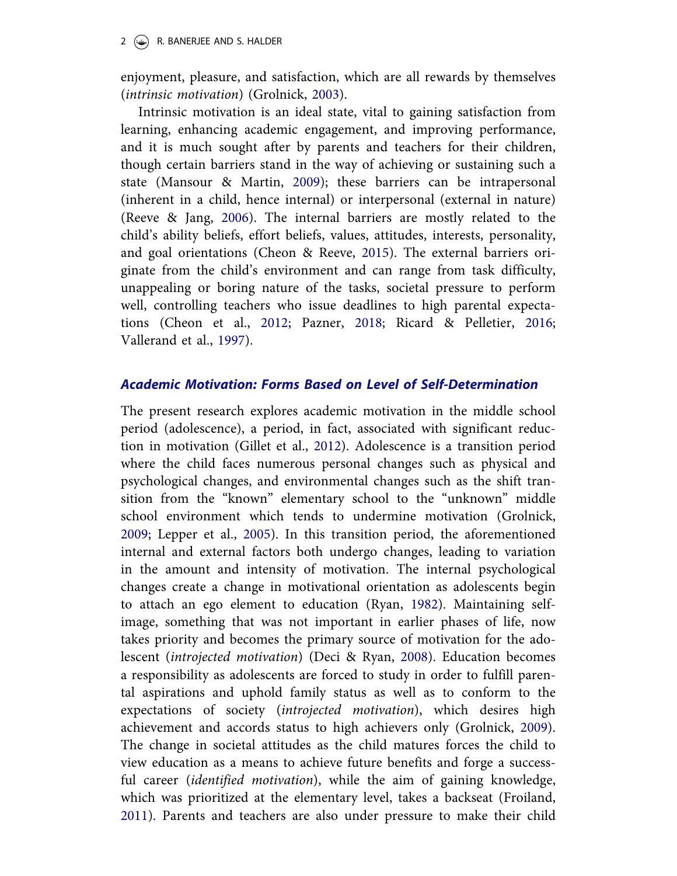#### 2  $(\rightarrow)$  R. BANERJEE AND S. HALDER

enjoyment, pleasure, and satisfaction, which are all rewards by themselves (intrinsic motivation) (Grolnick, 2003).

Intrinsic motivation is an ideal state, vital to gaining satisfaction from learning, enhancing academic engagement, and improving performance, and it is much sought after by parents and teachers for their children, though certain barriers stand in the way of achieving or sustaining such a state (Mansour & Martin, 2009); these barriers can be intrapersonal (inherent in a child, hence internal) or interpersonal (external in nature) (Reeve & Jang, 2006). The internal barriers are mostly related to the child's ability beliefs, effort beliefs, values, attitudes, interests, personality, and goal orientations (Cheon & Reeve, 2015). The external barriers originate from the child's environment and can range from task difficulty, unappealing or boring nature of the tasks, societal pressure to perform well, controlling teachers who issue deadlines to high parental expectations (Cheon et al., 2012; Pazner, 2018; Ricard & Pelletier, 2016; Vallerand et al., 1997).

### Academic Motivation: Forms Based on Level of Self-Determination

The present research explores academic motivation in the middle school period (adolescence), a period, in fact, associated with significant reduction in motivation (Gillet et al., 2012). Adolescence is a transition period where the child faces numerous personal changes such as physical and psychological changes, and environmental changes such as the shift transition from the "known" elementary school to the "unknown" middle school environment which tends to undermine motivation (Grolnick, 2009; Lepper et al., 2005). In this transition period, the aforementioned internal and external factors both undergo changes, leading to variation in the amount and intensity of motivation. The internal psychological changes create a change in motivational orientation as adolescents begin to attach an ego element to education (Ryan, 1982). Maintaining selfimage, something that was not important in earlier phases of life, now takes priority and becomes the primary source of motivation for the adolescent (introjected motivation) (Deci & Ryan, 2008). Education becomes a responsibility as adolescents are forced to study in order to fulfill parental aspirations and uphold family status as well as to conform to the expectations of society (introjected motivation), which desires high achievement and accords status to high achievers only (Grolnick, 2009). The change in societal attitudes as the child matures forces the child to view education as a means to achieve future benefits and forge a successful career (identified motivation), while the aim of gaining knowledge, which was prioritized at the elementary level, takes a backseat (Froiland, 2011). Parents and teachers are also under pressure to make their child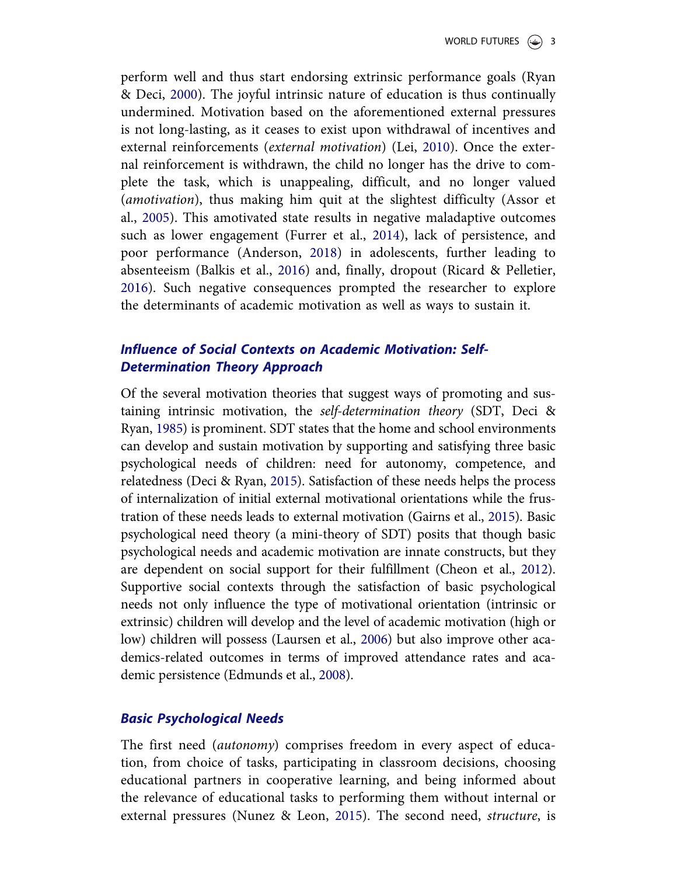perform well and thus start endorsing extrinsic performance goals (Ryan & Deci, 2000). The joyful intrinsic nature of education is thus continually undermined. Motivation based on the aforementioned external pressures is not long-lasting, as it ceases to exist upon withdrawal of incentives and external reinforcements (external motivation) (Lei, 2010). Once the external reinforcement is withdrawn, the child no longer has the drive to complete the task, which is unappealing, difficult, and no longer valued (amotivation), thus making him quit at the slightest difficulty (Assor et al., 2005). This amotivated state results in negative maladaptive outcomes such as lower engagement (Furrer et al., 2014), lack of persistence, and poor performance (Anderson, 2018) in adolescents, further leading to absenteeism (Balkis et al., 2016) and, finally, dropout (Ricard & Pelletier, 2016). Such negative consequences prompted the researcher to explore the determinants of academic motivation as well as ways to sustain it.

# Influence of Social Contexts on Academic Motivation: Self-Determination Theory Approach

Of the several motivation theories that suggest ways of promoting and sustaining intrinsic motivation, the self-determination theory (SDT, Deci & Ryan, 1985) is prominent. SDT states that the home and school environments can develop and sustain motivation by supporting and satisfying three basic psychological needs of children: need for autonomy, competence, and relatedness (Deci & Ryan, 2015). Satisfaction of these needs helps the process of internalization of initial external motivational orientations while the frustration of these needs leads to external motivation (Gairns et al., 2015). Basic psychological need theory (a mini-theory of SDT) posits that though basic psychological needs and academic motivation are innate constructs, but they are dependent on social support for their fulfillment (Cheon et al., 2012). Supportive social contexts through the satisfaction of basic psychological needs not only influence the type of motivational orientation (intrinsic or extrinsic) children will develop and the level of academic motivation (high or low) children will possess (Laursen et al., 2006) but also improve other academics-related outcomes in terms of improved attendance rates and academic persistence (Edmunds et al., 2008).

### Basic Psychological Needs

The first need (autonomy) comprises freedom in every aspect of education, from choice of tasks, participating in classroom decisions, choosing educational partners in cooperative learning, and being informed about the relevance of educational tasks to performing them without internal or external pressures (Nunez & Leon, 2015). The second need, structure, is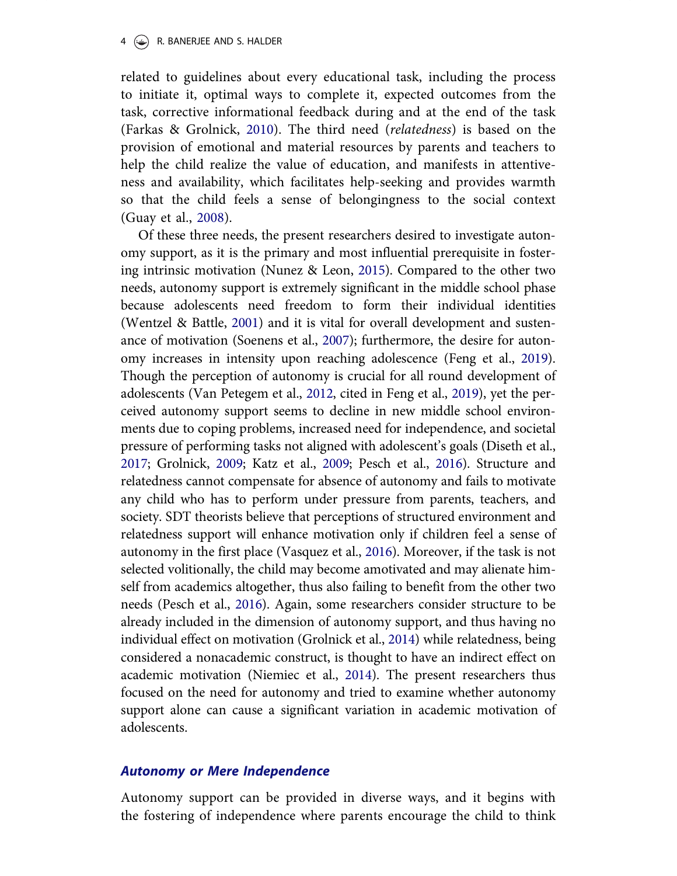#### 4  $\left(\bigstar\right)$  R. BANERJEE AND S. HALDER

related to guidelines about every educational task, including the process to initiate it, optimal ways to complete it, expected outcomes from the task, corrective informational feedback during and at the end of the task (Farkas & Grolnick, 2010). The third need (relatedness) is based on the provision of emotional and material resources by parents and teachers to help the child realize the value of education, and manifests in attentiveness and availability, which facilitates help-seeking and provides warmth so that the child feels a sense of belongingness to the social context (Guay et al., 2008).

Of these three needs, the present researchers desired to investigate autonomy support, as it is the primary and most influential prerequisite in fostering intrinsic motivation (Nunez & Leon, 2015). Compared to the other two needs, autonomy support is extremely significant in the middle school phase because adolescents need freedom to form their individual identities (Wentzel & Battle, 2001) and it is vital for overall development and sustenance of motivation (Soenens et al., 2007); furthermore, the desire for autonomy increases in intensity upon reaching adolescence (Feng et al., 2019). Though the perception of autonomy is crucial for all round development of adolescents (Van Petegem et al., 2012, cited in Feng et al., 2019), yet the perceived autonomy support seems to decline in new middle school environments due to coping problems, increased need for independence, and societal pressure of performing tasks not aligned with adolescent's goals (Diseth et al., 2017; Grolnick, 2009; Katz et al., 2009; Pesch et al., 2016). Structure and relatedness cannot compensate for absence of autonomy and fails to motivate any child who has to perform under pressure from parents, teachers, and society. SDT theorists believe that perceptions of structured environment and relatedness support will enhance motivation only if children feel a sense of autonomy in the first place (Vasquez et al., 2016). Moreover, if the task is not selected volitionally, the child may become amotivated and may alienate himself from academics altogether, thus also failing to benefit from the other two needs (Pesch et al., 2016). Again, some researchers consider structure to be already included in the dimension of autonomy support, and thus having no individual effect on motivation (Grolnick et al., 2014) while relatedness, being considered a nonacademic construct, is thought to have an indirect effect on academic motivation (Niemiec et al., 2014). The present researchers thus focused on the need for autonomy and tried to examine whether autonomy support alone can cause a significant variation in academic motivation of adolescents.

### Autonomy or Mere Independence

Autonomy support can be provided in diverse ways, and it begins with the fostering of independence where parents encourage the child to think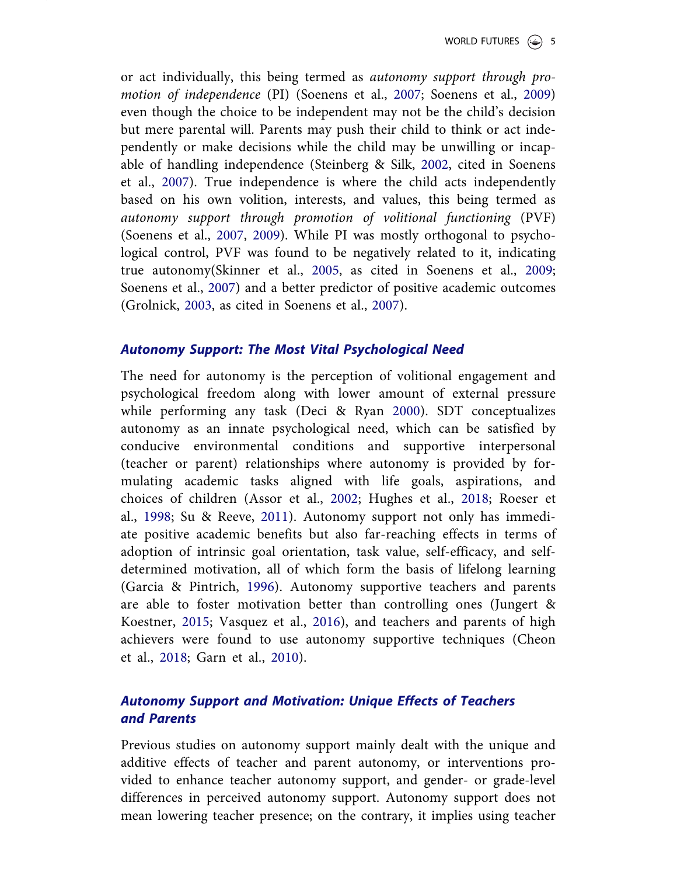or act individually, this being termed as autonomy support through promotion of independence (PI) (Soenens et al., 2007; Soenens et al., 2009) even though the choice to be independent may not be the child's decision but mere parental will. Parents may push their child to think or act independently or make decisions while the child may be unwilling or incapable of handling independence (Steinberg & Silk, 2002, cited in Soenens et al., 2007). True independence is where the child acts independently based on his own volition, interests, and values, this being termed as autonomy support through promotion of volitional functioning (PVF) (Soenens et al., 2007, 2009). While PI was mostly orthogonal to psychological control, PVF was found to be negatively related to it, indicating true autonomy(Skinner et al., 2005, as cited in Soenens et al., 2009; Soenens et al., 2007) and a better predictor of positive academic outcomes (Grolnick, 2003, as cited in Soenens et al., 2007).

### Autonomy Support: The Most Vital Psychological Need

The need for autonomy is the perception of volitional engagement and psychological freedom along with lower amount of external pressure while performing any task (Deci & Ryan 2000). SDT conceptualizes autonomy as an innate psychological need, which can be satisfied by conducive environmental conditions and supportive interpersonal (teacher or parent) relationships where autonomy is provided by formulating academic tasks aligned with life goals, aspirations, and choices of children (Assor et al., 2002; Hughes et al., 2018; Roeser et al., 1998; Su & Reeve, 2011). Autonomy support not only has immediate positive academic benefits but also far-reaching effects in terms of adoption of intrinsic goal orientation, task value, self-efficacy, and selfdetermined motivation, all of which form the basis of lifelong learning (Garcia & Pintrich, 1996). Autonomy supportive teachers and parents are able to foster motivation better than controlling ones (Jungert & Koestner, 2015; Vasquez et al., 2016), and teachers and parents of high achievers were found to use autonomy supportive techniques (Cheon et al., 2018; Garn et al., 2010).

# Autonomy Support and Motivation: Unique Effects of Teachers and Parents

Previous studies on autonomy support mainly dealt with the unique and additive effects of teacher and parent autonomy, or interventions provided to enhance teacher autonomy support, and gender- or grade-level differences in perceived autonomy support. Autonomy support does not mean lowering teacher presence; on the contrary, it implies using teacher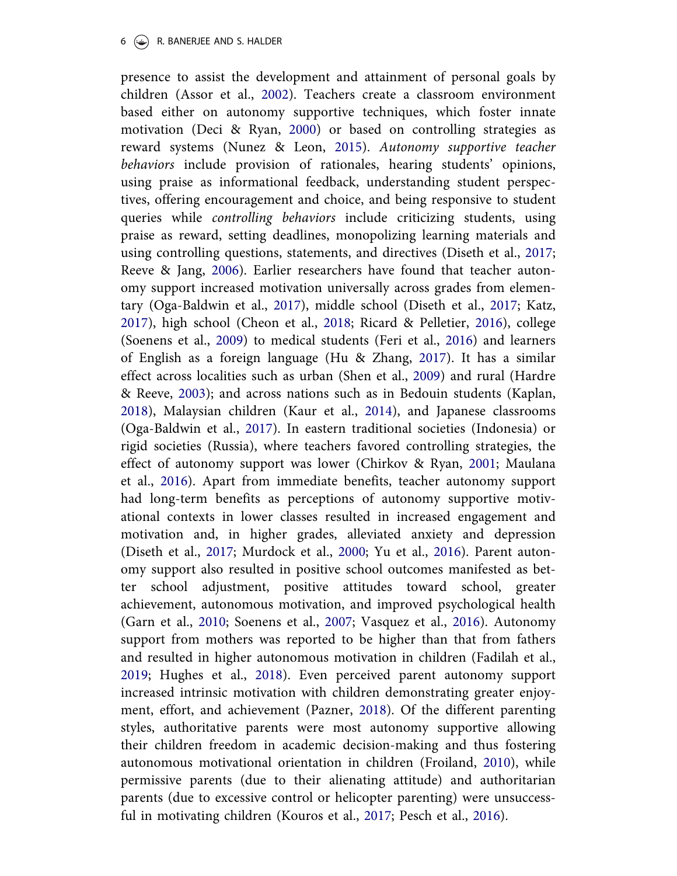presence to assist the development and attainment of personal goals by children (Assor et al., 2002). Teachers create a classroom environment based either on autonomy supportive techniques, which foster innate motivation (Deci & Ryan, 2000) or based on controlling strategies as reward systems (Nunez & Leon, 2015). Autonomy supportive teacher behaviors include provision of rationales, hearing students' opinions, using praise as informational feedback, understanding student perspectives, offering encouragement and choice, and being responsive to student queries while controlling behaviors include criticizing students, using praise as reward, setting deadlines, monopolizing learning materials and using controlling questions, statements, and directives (Diseth et al., 2017; Reeve & Jang, 2006). Earlier researchers have found that teacher autonomy support increased motivation universally across grades from elementary (Oga-Baldwin et al., 2017), middle school (Diseth et al., 2017; Katz, 2017), high school (Cheon et al., 2018; Ricard & Pelletier, 2016), college (Soenens et al., 2009) to medical students (Feri et al., 2016) and learners of English as a foreign language (Hu & Zhang, 2017). It has a similar effect across localities such as urban (Shen et al., 2009) and rural (Hardre & Reeve, 2003); and across nations such as in Bedouin students (Kaplan, 2018), Malaysian children (Kaur et al., 2014), and Japanese classrooms (Oga-Baldwin et al., 2017). In eastern traditional societies (Indonesia) or rigid societies (Russia), where teachers favored controlling strategies, the effect of autonomy support was lower (Chirkov & Ryan, 2001; Maulana et al., 2016). Apart from immediate benefits, teacher autonomy support had long-term benefits as perceptions of autonomy supportive motivational contexts in lower classes resulted in increased engagement and motivation and, in higher grades, alleviated anxiety and depression (Diseth et al., 2017; Murdock et al., 2000; Yu et al., 2016). Parent autonomy support also resulted in positive school outcomes manifested as better school adjustment, positive attitudes toward school, greater achievement, autonomous motivation, and improved psychological health (Garn et al., 2010; Soenens et al., 2007; Vasquez et al., 2016). Autonomy support from mothers was reported to be higher than that from fathers and resulted in higher autonomous motivation in children (Fadilah et al., 2019; Hughes et al., 2018). Even perceived parent autonomy support increased intrinsic motivation with children demonstrating greater enjoyment, effort, and achievement (Pazner, 2018). Of the different parenting styles, authoritative parents were most autonomy supportive allowing their children freedom in academic decision-making and thus fostering autonomous motivational orientation in children (Froiland, 2010), while permissive parents (due to their alienating attitude) and authoritarian parents (due to excessive control or helicopter parenting) were unsuccessful in motivating children (Kouros et al., 2017; Pesch et al., 2016).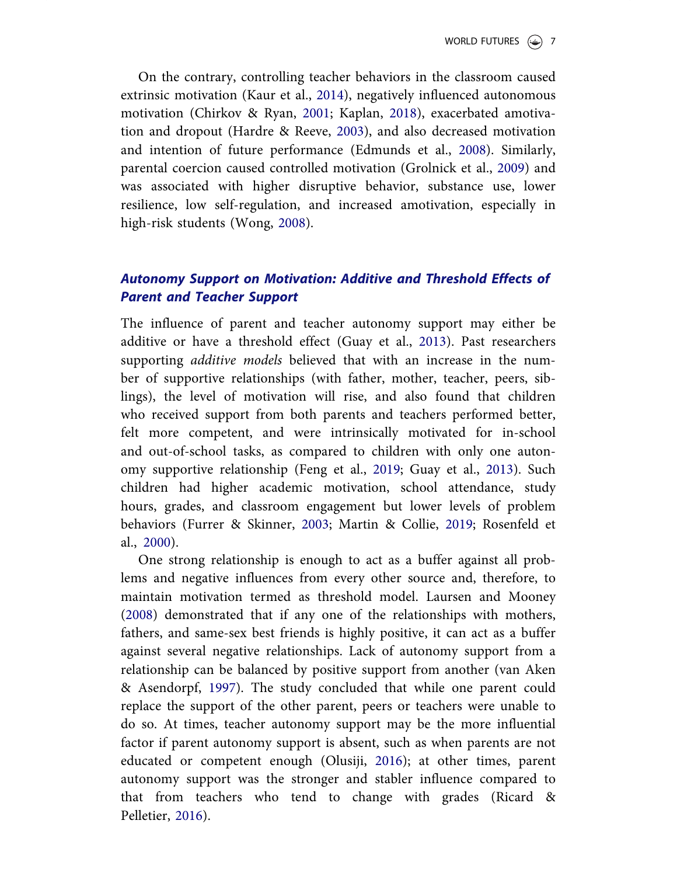On the contrary, controlling teacher behaviors in the classroom caused extrinsic motivation (Kaur et al., 2014), negatively influenced autonomous motivation (Chirkov & Ryan, 2001; Kaplan, 2018), exacerbated amotivation and dropout (Hardre & Reeve, 2003), and also decreased motivation and intention of future performance (Edmunds et al., 2008). Similarly, parental coercion caused controlled motivation (Grolnick et al., 2009) and was associated with higher disruptive behavior, substance use, lower resilience, low self-regulation, and increased amotivation, especially in high-risk students (Wong, 2008).

# Autonomy Support on Motivation: Additive and Threshold Effects of Parent and Teacher Support

The influence of parent and teacher autonomy support may either be additive or have a threshold effect (Guay et al., 2013). Past researchers supporting *additive models* believed that with an increase in the number of supportive relationships (with father, mother, teacher, peers, siblings), the level of motivation will rise, and also found that children who received support from both parents and teachers performed better, felt more competent, and were intrinsically motivated for in-school and out-of-school tasks, as compared to children with only one autonomy supportive relationship (Feng et al., 2019; Guay et al., 2013). Such children had higher academic motivation, school attendance, study hours, grades, and classroom engagement but lower levels of problem behaviors (Furrer & Skinner, 2003; Martin & Collie, 2019; Rosenfeld et al., 2000).

One strong relationship is enough to act as a buffer against all problems and negative influences from every other source and, therefore, to maintain motivation termed as threshold model. Laursen and Mooney (2008) demonstrated that if any one of the relationships with mothers, fathers, and same-sex best friends is highly positive, it can act as a buffer against several negative relationships. Lack of autonomy support from a relationship can be balanced by positive support from another (van Aken & Asendorpf, 1997). The study concluded that while one parent could replace the support of the other parent, peers or teachers were unable to do so. At times, teacher autonomy support may be the more influential factor if parent autonomy support is absent, such as when parents are not educated or competent enough (Olusiji, 2016); at other times, parent autonomy support was the stronger and stabler influence compared to that from teachers who tend to change with grades (Ricard & Pelletier, 2016).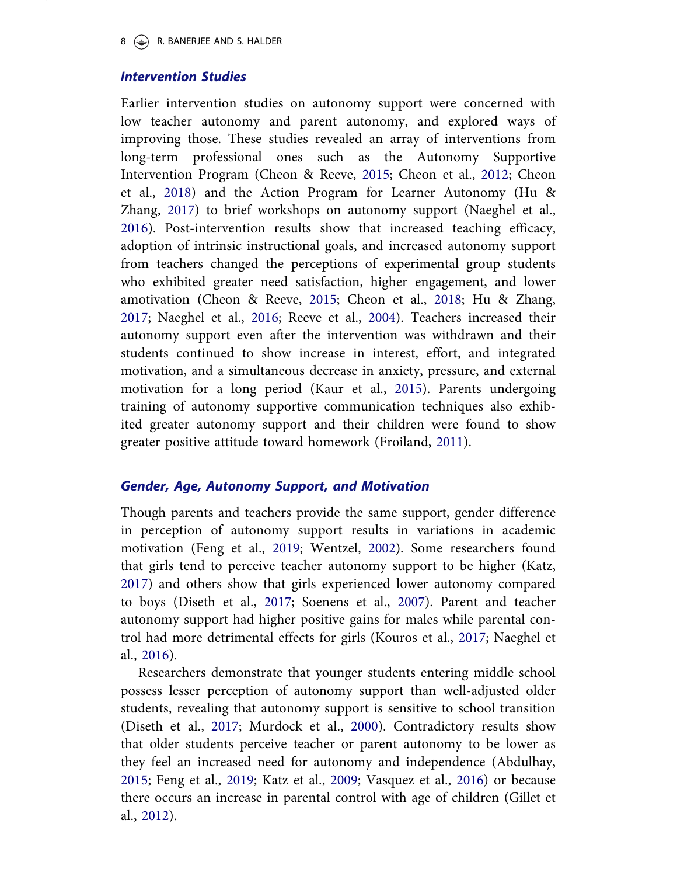#### 8  $(\bigcirc)$  R. BANERJEE AND S. HALDER

#### Intervention Studies

Earlier intervention studies on autonomy support were concerned with low teacher autonomy and parent autonomy, and explored ways of improving those. These studies revealed an array of interventions from long-term professional ones such as the Autonomy Supportive Intervention Program (Cheon & Reeve, 2015; Cheon et al., 2012; Cheon et al., 2018) and the Action Program for Learner Autonomy (Hu & Zhang, 2017) to brief workshops on autonomy support (Naeghel et al., 2016). Post-intervention results show that increased teaching efficacy, adoption of intrinsic instructional goals, and increased autonomy support from teachers changed the perceptions of experimental group students who exhibited greater need satisfaction, higher engagement, and lower amotivation (Cheon & Reeve, 2015; Cheon et al., 2018; Hu & Zhang, 2017; Naeghel et al., 2016; Reeve et al., 2004). Teachers increased their autonomy support even after the intervention was withdrawn and their students continued to show increase in interest, effort, and integrated motivation, and a simultaneous decrease in anxiety, pressure, and external motivation for a long period (Kaur et al., 2015). Parents undergoing training of autonomy supportive communication techniques also exhibited greater autonomy support and their children were found to show greater positive attitude toward homework (Froiland, 2011).

### Gender, Age, Autonomy Support, and Motivation

Though parents and teachers provide the same support, gender difference in perception of autonomy support results in variations in academic motivation (Feng et al., 2019; Wentzel, 2002). Some researchers found that girls tend to perceive teacher autonomy support to be higher (Katz, 2017) and others show that girls experienced lower autonomy compared to boys (Diseth et al., 2017; Soenens et al., 2007). Parent and teacher autonomy support had higher positive gains for males while parental control had more detrimental effects for girls (Kouros et al., 2017; Naeghel et al., 2016).

Researchers demonstrate that younger students entering middle school possess lesser perception of autonomy support than well-adjusted older students, revealing that autonomy support is sensitive to school transition (Diseth et al., 2017; Murdock et al., 2000). Contradictory results show that older students perceive teacher or parent autonomy to be lower as they feel an increased need for autonomy and independence (Abdulhay, 2015; Feng et al., 2019; Katz et al., 2009; Vasquez et al., 2016) or because there occurs an increase in parental control with age of children (Gillet et al., 2012).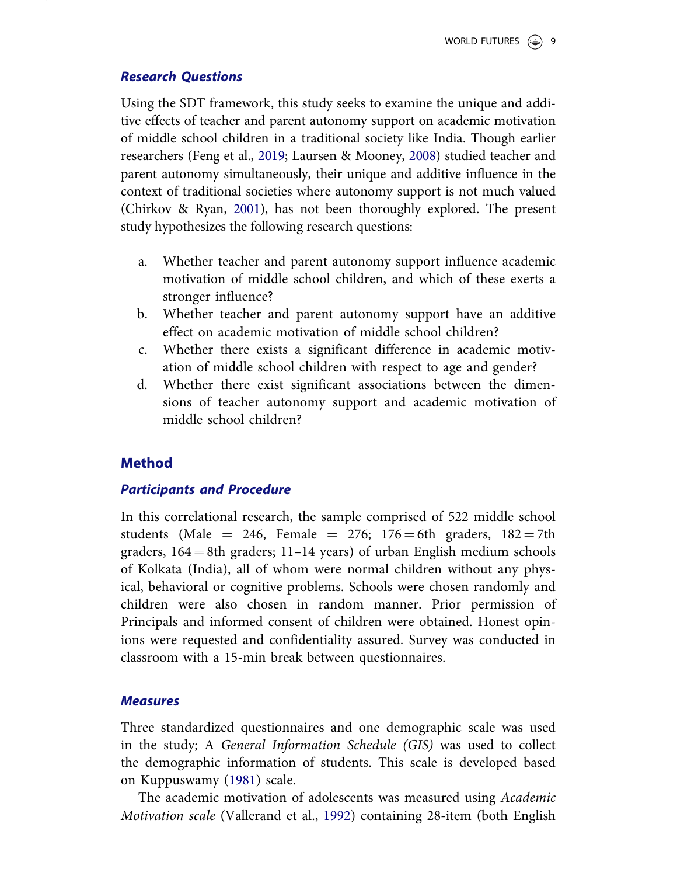# Research Questions

Using the SDT framework, this study seeks to examine the unique and additive effects of teacher and parent autonomy support on academic motivation of middle school children in a traditional society like India. Though earlier researchers (Feng et al., 2019; Laursen & Mooney, 2008) studied teacher and parent autonomy simultaneously, their unique and additive influence in the context of traditional societies where autonomy support is not much valued (Chirkov & Ryan, 2001), has not been thoroughly explored. The present study hypothesizes the following research questions:

- a. Whether teacher and parent autonomy support influence academic motivation of middle school children, and which of these exerts a stronger influence?
- b. Whether teacher and parent autonomy support have an additive effect on academic motivation of middle school children?
- c. Whether there exists a significant difference in academic motivation of middle school children with respect to age and gender?
- d. Whether there exist significant associations between the dimensions of teacher autonomy support and academic motivation of middle school children?

# Method

# Participants and Procedure

In this correlational research, the sample comprised of 522 middle school students (Male  $= 246$ , Female  $= 276$ ; 176  $= 6th$  graders, 182  $= 7th$ graders,  $164 = 8$ th graders; 11–14 years) of urban English medium schools of Kolkata (India), all of whom were normal children without any physical, behavioral or cognitive problems. Schools were chosen randomly and children were also chosen in random manner. Prior permission of Principals and informed consent of children were obtained. Honest opinions were requested and confidentiality assured. Survey was conducted in classroom with a 15-min break between questionnaires.

# **Measures**

Three standardized questionnaires and one demographic scale was used in the study; A General Information Schedule (GIS) was used to collect the demographic information of students. This scale is developed based on Kuppuswamy (1981) scale.

The academic motivation of adolescents was measured using Academic Motivation scale (Vallerand et al., 1992) containing 28-item (both English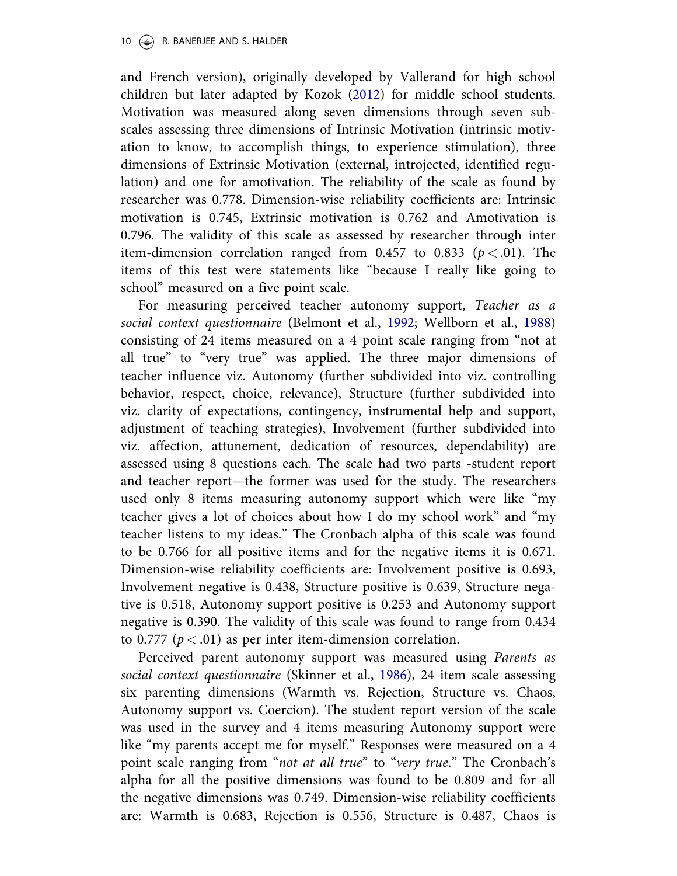and French version), originally developed by Vallerand for high school children but later adapted by Kozok (2012) for middle school students. Motivation was measured along seven dimensions through seven subscales assessing three dimensions of Intrinsic Motivation (intrinsic motivation to know, to accomplish things, to experience stimulation), three dimensions of Extrinsic Motivation (external, introjected, identified regulation) and one for amotivation. The reliability of the scale as found by researcher was 0.778. Dimension-wise reliability coefficients are: Intrinsic motivation is 0.745, Extrinsic motivation is 0.762 and Amotivation is 0.796. The validity of this scale as assessed by researcher through inter item-dimension correlation ranged from 0.457 to 0.833 ( $p < .01$ ). The items of this test were statements like "because I really like going to school" measured on a five point scale.

For measuring perceived teacher autonomy support, Teacher as a social context questionnaire (Belmont et al., 1992; Wellborn et al., 1988) consisting of 24 items measured on a 4 point scale ranging from "not at all true" to "very true" was applied. The three major dimensions of teacher influence viz. Autonomy (further subdivided into viz. controlling behavior, respect, choice, relevance), Structure (further subdivided into viz. clarity of expectations, contingency, instrumental help and support, adjustment of teaching strategies), Involvement (further subdivided into viz. affection, attunement, dedication of resources, dependability) are assessed using 8 questions each. The scale had two parts -student report and teacher report—the former was used for the study. The researchers used only 8 items measuring autonomy support which were like "my teacher gives a lot of choices about how I do my school work" and "my teacher listens to my ideas." The Cronbach alpha of this scale was found to be 0.766 for all positive items and for the negative items it is 0.671. Dimension-wise reliability coefficients are: Involvement positive is 0.693, Involvement negative is 0.438, Structure positive is 0.639, Structure negative is 0.518, Autonomy support positive is 0.253 and Autonomy support negative is 0.390. The validity of this scale was found to range from 0.434 to 0.777 ( $p < .01$ ) as per inter item-dimension correlation.

Perceived parent autonomy support was measured using Parents as social context questionnaire (Skinner et al., 1986), 24 item scale assessing six parenting dimensions (Warmth vs. Rejection, Structure vs. Chaos, Autonomy support vs. Coercion). The student report version of the scale was used in the survey and 4 items measuring Autonomy support were like "my parents accept me for myself." Responses were measured on a 4 point scale ranging from "not at all true" to "very true." The Cronbach's alpha for all the positive dimensions was found to be 0.809 and for all the negative dimensions was 0.749. Dimension-wise reliability coefficients are: Warmth is 0.683, Rejection is 0.556, Structure is 0.487, Chaos is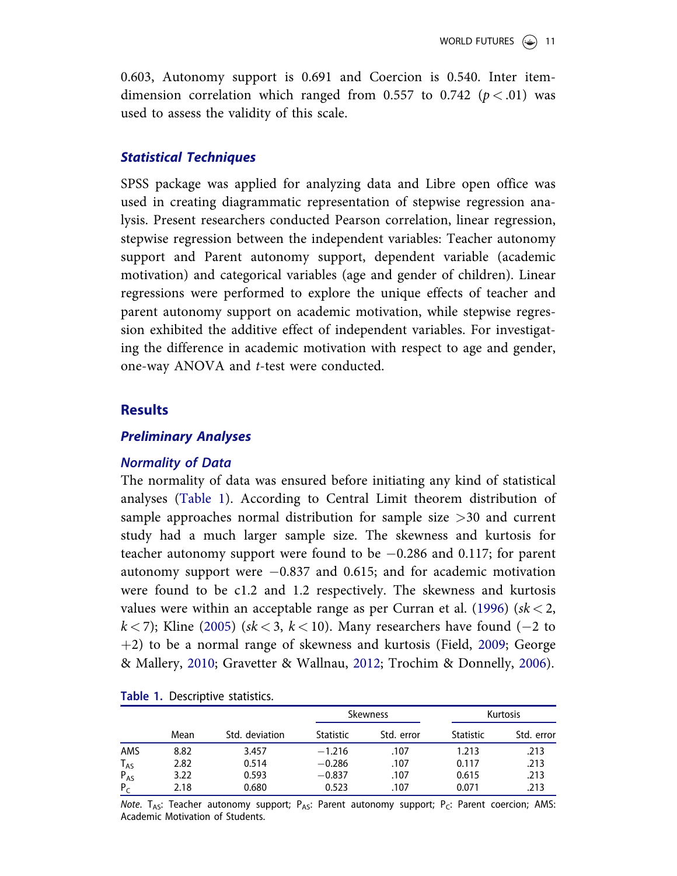0.603, Autonomy support is 0.691 and Coercion is 0.540. Inter itemdimension correlation which ranged from 0.557 to 0.742 ( $p < .01$ ) was used to assess the validity of this scale.

### Statistical Techniques

SPSS package was applied for analyzing data and Libre open office was used in creating diagrammatic representation of stepwise regression analysis. Present researchers conducted Pearson correlation, linear regression, stepwise regression between the independent variables: Teacher autonomy support and Parent autonomy support, dependent variable (academic motivation) and categorical variables (age and gender of children). Linear regressions were performed to explore the unique effects of teacher and parent autonomy support on academic motivation, while stepwise regression exhibited the additive effect of independent variables. For investigating the difference in academic motivation with respect to age and gender, one-way ANOVA and t-test were conducted.

### **Results**

#### Preliminary Analyses

#### Normality of Data

The normality of data was ensured before initiating any kind of statistical analyses (Table 1). According to Central Limit theorem distribution of sample approaches normal distribution for sample size >30 and current study had a much larger sample size. The skewness and kurtosis for teacher autonomy support were found to be  $-0.286$  and 0.117; for parent autonomy support were  $-0.837$  and 0.615; and for academic motivation were found to be c1.2 and 1.2 respectively. The skewness and kurtosis values were within an acceptable range as per Curran et al. (1996) ( $sk < 2$ ,  $k < 7$ ); Kline (2005) ( $sk < 3$ ,  $k < 10$ ). Many researchers have found (-2 to  $+2$ ) to be a normal range of skewness and kurtosis (Field, 2009; George & Mallery, 2010; Gravetter & Wallnau, 2012; Trochim & Donnelly, 2006).

|          |      |                |                  | <b>Skewness</b> | <b>Kurtosis</b>  |            |  |
|----------|------|----------------|------------------|-----------------|------------------|------------|--|
|          | Mean | Std. deviation | <b>Statistic</b> | Std. error      | <b>Statistic</b> | Std. error |  |
| AMS      | 8.82 | 3.457          | $-1.216$         | .107            | 1.213            | .213       |  |
| $T_{AS}$ | 2.82 | 0.514          | $-0.286$         | .107            | 0.117            | .213       |  |
| $P_{AS}$ | 3.22 | 0.593          | $-0.837$         | .107            | 0.615            | .213       |  |
| $P_{C}$  | 2.18 | 0.680          | 0.523            | .107            | 0.071            | .213       |  |

Table 1. Descriptive statistics.

Note. T<sub>AS</sub>: Teacher autonomy support; P<sub>AS</sub>: Parent autonomy support; P<sub>C</sub>: Parent coercion; AMS: Academic Motivation of Students.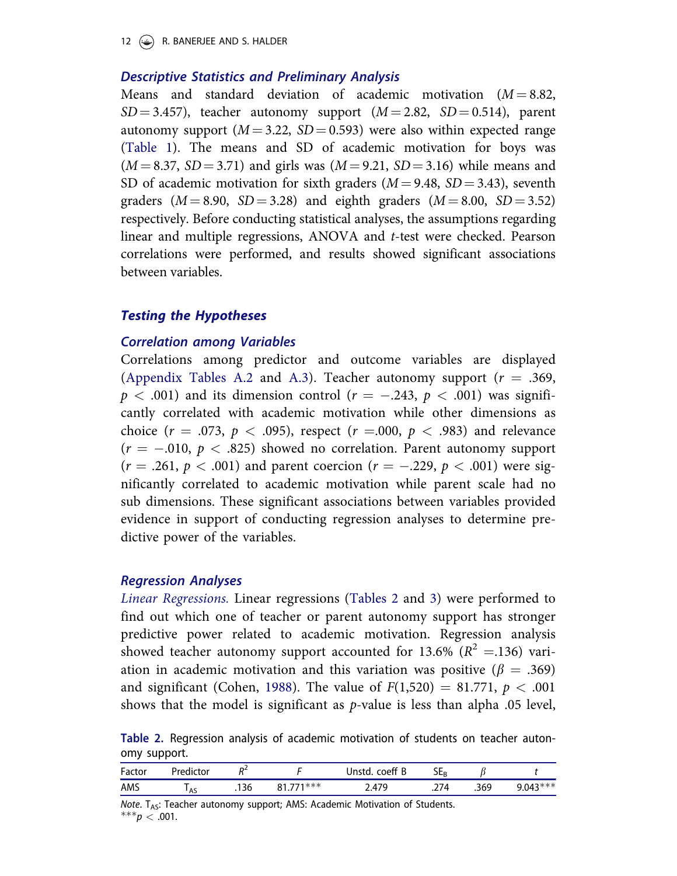12  $(\rightarrow)$  R. BANERJEE AND S. HALDER

### Descriptive Statistics and Preliminary Analysis

Means and standard deviation of academic motivation  $(M = 8.82,$  $SD = 3.457$ , teacher autonomy support  $(M = 2.82, SD = 0.514)$ , parent autonomy support  $(M = 3.22, SD = 0.593)$  were also within expected range (Table 1). The means and SD of academic motivation for boys was  $(M = 8.37, SD = 3.71)$  and girls was  $(M = 9.21, SD = 3.16)$  while means and SD of academic motivation for sixth graders  $(M = 9.48, SD = 3.43)$ , seventh graders  $(M = 8.90, SD = 3.28)$  and eighth graders  $(M = 8.00, SD = 3.52)$ respectively. Before conducting statistical analyses, the assumptions regarding linear and multiple regressions, ANOVA and t-test were checked. Pearson correlations were performed, and results showed significant associations between variables.

### Testing the Hypotheses

### Correlation among Variables

Correlations among predictor and outcome variables are displayed (Appendix Tables A.2 and A.3). Teacher autonomy support ( $r = .369$ ,  $p < .001$ ) and its dimension control ( $r = -.243, p < .001$ ) was significantly correlated with academic motivation while other dimensions as choice ( $r = .073$ ,  $p < .095$ ), respect ( $r = .000$ ,  $p < .983$ ) and relevance  $(r = -.010, p < .825)$  showed no correlation. Parent autonomy support  $(r = .261, p < .001)$  and parent coercion  $(r = -.229, p < .001)$  were significantly correlated to academic motivation while parent scale had no sub dimensions. These significant associations between variables provided evidence in support of conducting regression analyses to determine predictive power of the variables.

#### Regression Analyses

Linear Regressions. Linear regressions (Tables 2 and 3) were performed to find out which one of teacher or parent autonomy support has stronger predictive power related to academic motivation. Regression analysis showed teacher autonomy support accounted for 13.6% ( $R^2 = .136$ ) variation in academic motivation and this variation was positive ( $\beta = .369$ ) and significant (Cohen, 1988). The value of  $F(1,520) = 81.771$ ,  $p < .001$ shows that the model is significant as  $p$ -value is less than alpha .05 level,

Table 2. Regression analysis of academic motivation of students on teacher autonomy support.

| Factor | Predictor | D4.  |         | coeff B<br>Jnstd. | ЭEв |      |            |
|--------|-----------|------|---------|-------------------|-----|------|------------|
| AMS    | AS        | .136 | 771 *** | 17 Q              | .   | .369 | $9.043***$ |

Note.  $T_{AS}$ : Teacher autonomy support; AMS: Academic Motivation of Students.  $***p < .001$ .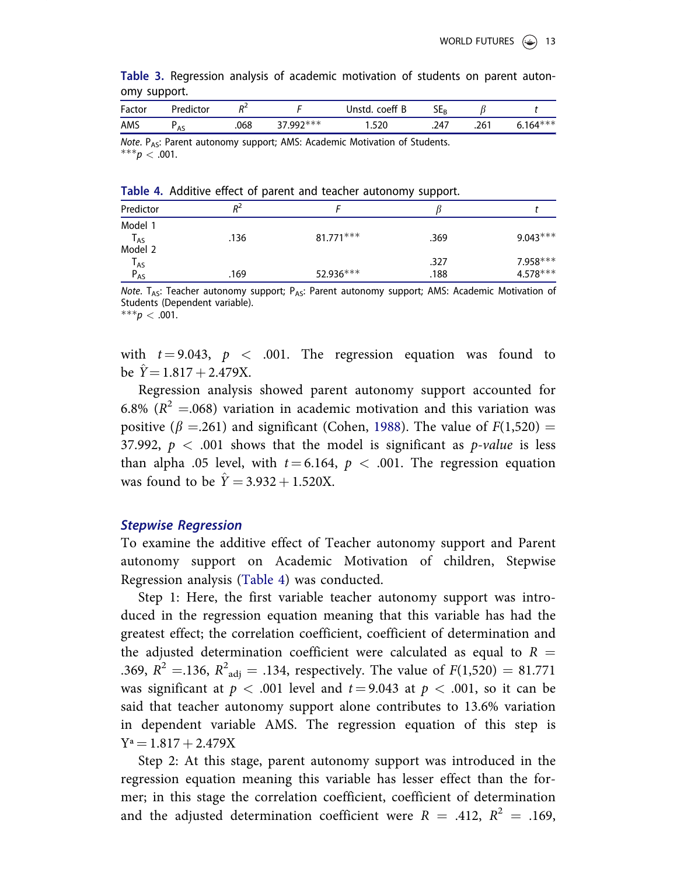|              |  |  | Table 3. Regression analysis of academic motivation of students on parent auton- |  |  |  |
|--------------|--|--|----------------------------------------------------------------------------------|--|--|--|
| omy support. |  |  |                                                                                  |  |  |  |

| Factor | Predictor | D4   |            | coeff B<br>Jnstd. | 3Er  |      |            |
|--------|-----------|------|------------|-------------------|------|------|------------|
| AMS    | <b>AS</b> | .068 | $37997***$ | .520              | .247 | .261 | $6.164***$ |
|        |           |      |            |                   |      |      |            |

Note. P<sub>AS</sub>: Parent autonomy support; AMS: Academic Motivation of Students.  $***p < .001$ .

Table 4. Additive effect of parent and teacher autonomy support.

| Predictor                  | $R^2$ |             |      |            |
|----------------------------|-------|-------------|------|------------|
| Model 1                    |       |             |      |            |
| $\mathsf{T}_{\mathsf{AS}}$ | .136  | $81.771***$ | .369 | $9.043***$ |
| Model 2                    |       |             |      |            |
| <sup>I</sup> AS            |       |             | .327 | 7.958 ***  |
| $P_{AS}$                   | .169  | 52.936***   | .188 | 4.578 ***  |

Note.  $T_{AS}$ : Teacher autonomy support;  $P_{AS}$ : Parent autonomy support; AMS: Academic Motivation of Students (Dependent variable).

 $***p < .001$ .

with  $t = 9.043$ ,  $p < .001$ . The regression equation was found to be  $\hat{Y} = 1.817 + 2.479X$ .

Regression analysis showed parent autonomy support accounted for 6.8% ( $R^2 = 0.068$ ) variation in academic motivation and this variation was positive ( $\beta$  =.261) and significant (Cohen, 1988). The value of  $F(1,520)$  = 37.992,  $p < .001$  shows that the model is significant as *p-value* is less than alpha .05 level, with  $t = 6.164$ ,  $p < .001$ . The regression equation was found to be  $\hat{Y} = 3.932 + 1.520X$ .

#### Stepwise Regression

To examine the additive effect of Teacher autonomy support and Parent autonomy support on Academic Motivation of children, Stepwise Regression analysis (Table 4) was conducted.

Step 1: Here, the first variable teacher autonomy support was introduced in the regression equation meaning that this variable has had the greatest effect; the correlation coefficient, coefficient of determination and the adjusted determination coefficient were calculated as equal to  $R =$ .369,  $R^2 = 136$ ,  $R^2_{\text{adj}} = .134$ , respectively. The value of  $F(1,520) = 81.771$ was significant at  $p < .001$  level and  $t = 9.043$  at  $p < .001$ , so it can be said that teacher autonomy support alone contributes to 13.6% variation in dependent variable AMS. The regression equation of this step is  $Y^a = 1.817 + 2.479X$ 

Step 2: At this stage, parent autonomy support was introduced in the regression equation meaning this variable has lesser effect than the former; in this stage the correlation coefficient, coefficient of determination and the adjusted determination coefficient were  $R = .412, R^2 = .169,$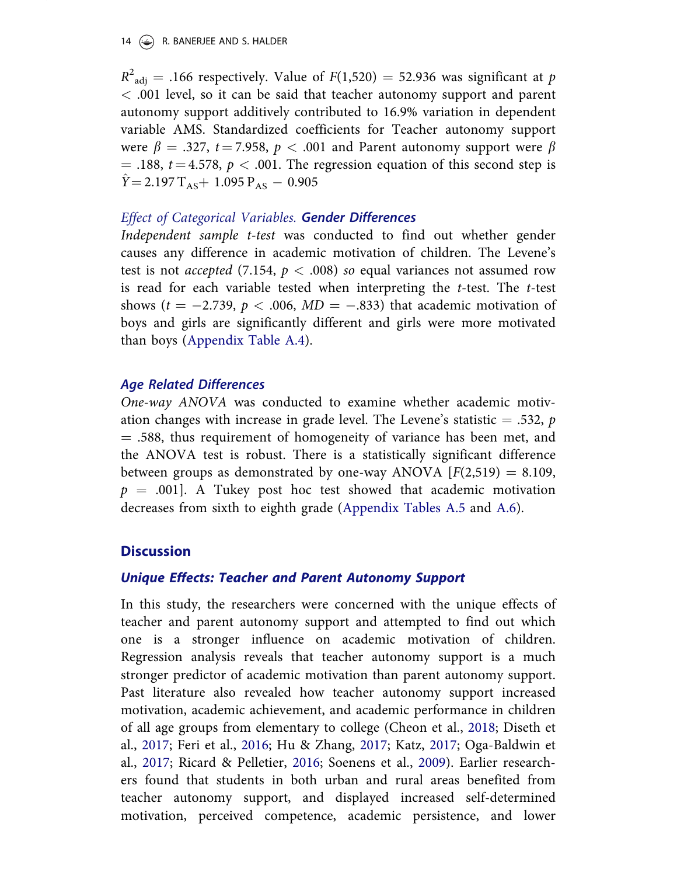#### 14  $\left(\frac{1}{2}\right)$  R. BANERJEE AND S. HALDER

 $R^2_{\text{adj}} = .166$  respectively. Value of  $F(1,520) = 52.936$  was significant at p < .001 level, so it can be said that teacher autonomy support and parent autonomy support additively contributed to 16.9% variation in dependent variable AMS. Standardized coefficients for Teacher autonomy support were  $\beta = .327$ ,  $t = 7.958$ ,  $p < .001$  and Parent autonomy support were  $\beta$  $=$  .188,  $t = 4.578$ ,  $p < .001$ . The regression equation of this second step is  $\hat{Y} = 2.197 \, \text{T}_{AS} + 1.095 \, \text{P}_{AS} - 0.905$ 

### Effect of Categorical Variables. Gender Differences

Independent sample t-test was conducted to find out whether gender causes any difference in academic motivation of children. The Levene's test is not *accepted* (7.154,  $p < .008$ ) so equal variances not assumed row is read for each variable tested when interpreting the  $t$ -test. The  $t$ -test shows ( $t = -2.739$ ,  $p < .006$ ,  $MD = -.833$ ) that academic motivation of boys and girls are significantly different and girls were more motivated than boys (Appendix Table A.4).

### Age Related Differences

One-way ANOVA was conducted to examine whether academic motivation changes with increase in grade level. The Levene's statistic  $= .532, p$  $=$  .588, thus requirement of homogeneity of variance has been met, and the ANOVA test is robust. There is a statistically significant difference between groups as demonstrated by one-way ANOVA  $[F(2,519) = 8.109,$  $p = .001$ . A Tukey post hoc test showed that academic motivation decreases from sixth to eighth grade (Appendix Tables A.5 and A.6).

# **Discussion**

### Unique Effects: Teacher and Parent Autonomy Support

In this study, the researchers were concerned with the unique effects of teacher and parent autonomy support and attempted to find out which one is a stronger influence on academic motivation of children. Regression analysis reveals that teacher autonomy support is a much stronger predictor of academic motivation than parent autonomy support. Past literature also revealed how teacher autonomy support increased motivation, academic achievement, and academic performance in children of all age groups from elementary to college (Cheon et al., 2018; Diseth et al., 2017; Feri et al., 2016; Hu & Zhang, 2017; Katz, 2017; Oga-Baldwin et al., 2017; Ricard & Pelletier, 2016; Soenens et al., 2009). Earlier researchers found that students in both urban and rural areas benefited from teacher autonomy support, and displayed increased self-determined motivation, perceived competence, academic persistence, and lower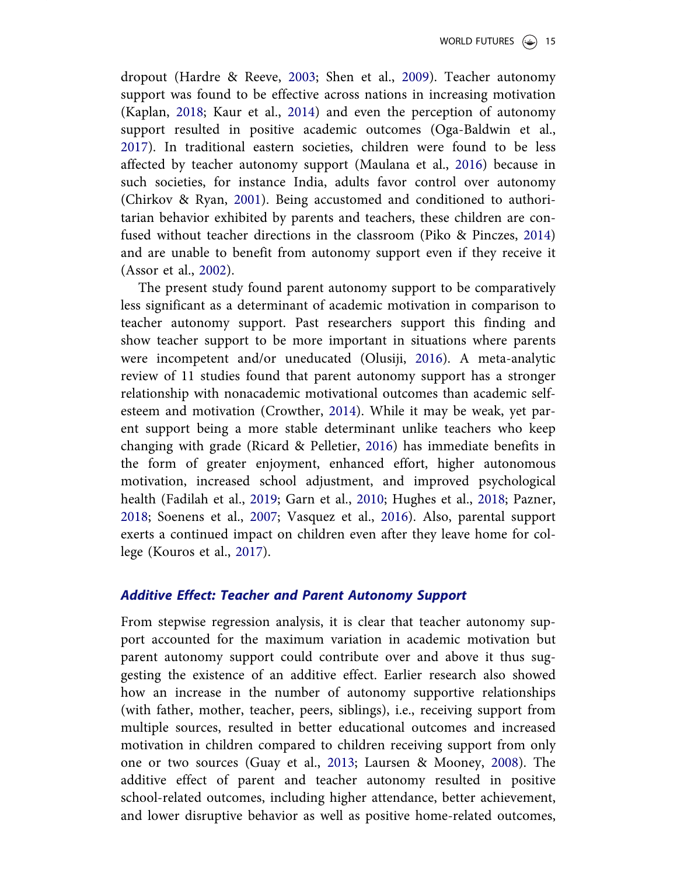dropout (Hardre & Reeve, 2003; Shen et al., 2009). Teacher autonomy support was found to be effective across nations in increasing motivation (Kaplan, 2018; Kaur et al., 2014) and even the perception of autonomy support resulted in positive academic outcomes (Oga-Baldwin et al., 2017). In traditional eastern societies, children were found to be less affected by teacher autonomy support (Maulana et al., 2016) because in such societies, for instance India, adults favor control over autonomy (Chirkov & Ryan, 2001). Being accustomed and conditioned to authoritarian behavior exhibited by parents and teachers, these children are confused without teacher directions in the classroom (Piko & Pinczes, 2014) and are unable to benefit from autonomy support even if they receive it (Assor et al., 2002).

The present study found parent autonomy support to be comparatively less significant as a determinant of academic motivation in comparison to teacher autonomy support. Past researchers support this finding and show teacher support to be more important in situations where parents were incompetent and/or uneducated (Olusiji, 2016). A meta-analytic review of 11 studies found that parent autonomy support has a stronger relationship with nonacademic motivational outcomes than academic selfesteem and motivation (Crowther, 2014). While it may be weak, yet parent support being a more stable determinant unlike teachers who keep changing with grade (Ricard & Pelletier, 2016) has immediate benefits in the form of greater enjoyment, enhanced effort, higher autonomous motivation, increased school adjustment, and improved psychological health (Fadilah et al., 2019; Garn et al., 2010; Hughes et al., 2018; Pazner, 2018; Soenens et al., 2007; Vasquez et al., 2016). Also, parental support exerts a continued impact on children even after they leave home for college (Kouros et al., 2017).

### Additive Effect: Teacher and Parent Autonomy Support

From stepwise regression analysis, it is clear that teacher autonomy support accounted for the maximum variation in academic motivation but parent autonomy support could contribute over and above it thus suggesting the existence of an additive effect. Earlier research also showed how an increase in the number of autonomy supportive relationships (with father, mother, teacher, peers, siblings), i.e., receiving support from multiple sources, resulted in better educational outcomes and increased motivation in children compared to children receiving support from only one or two sources (Guay et al., 2013; Laursen & Mooney, 2008). The additive effect of parent and teacher autonomy resulted in positive school-related outcomes, including higher attendance, better achievement, and lower disruptive behavior as well as positive home-related outcomes,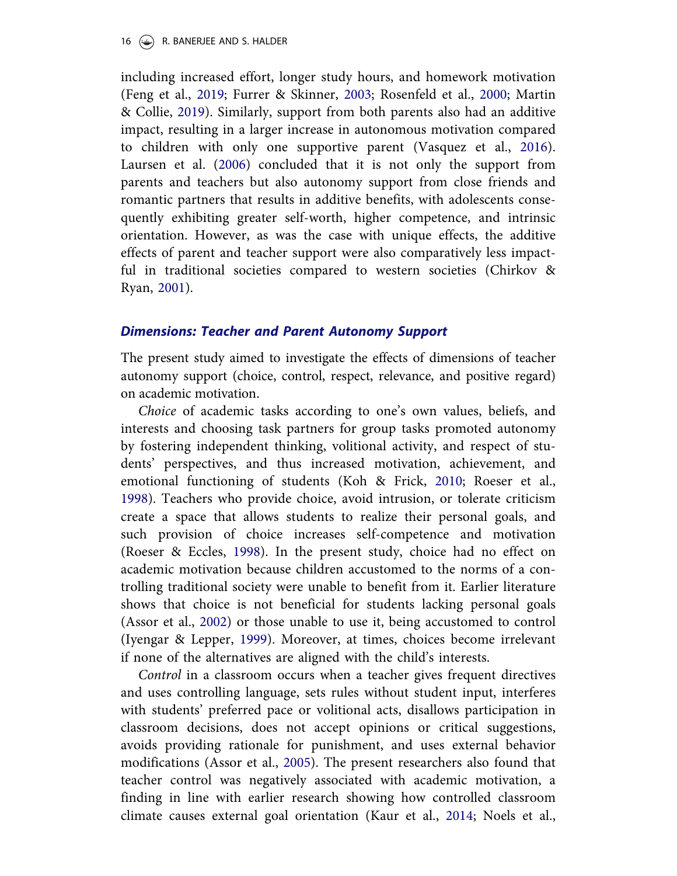including increased effort, longer study hours, and homework motivation (Feng et al., 2019; Furrer & Skinner, 2003; Rosenfeld et al., 2000; Martin & Collie, 2019). Similarly, support from both parents also had an additive impact, resulting in a larger increase in autonomous motivation compared to children with only one supportive parent (Vasquez et al., 2016). Laursen et al. (2006) concluded that it is not only the support from parents and teachers but also autonomy support from close friends and romantic partners that results in additive benefits, with adolescents consequently exhibiting greater self-worth, higher competence, and intrinsic orientation. However, as was the case with unique effects, the additive effects of parent and teacher support were also comparatively less impactful in traditional societies compared to western societies (Chirkov & Ryan, 2001).

#### Dimensions: Teacher and Parent Autonomy Support

The present study aimed to investigate the effects of dimensions of teacher autonomy support (choice, control, respect, relevance, and positive regard) on academic motivation.

Choice of academic tasks according to one's own values, beliefs, and interests and choosing task partners for group tasks promoted autonomy by fostering independent thinking, volitional activity, and respect of students' perspectives, and thus increased motivation, achievement, and emotional functioning of students (Koh & Frick, 2010; Roeser et al., 1998). Teachers who provide choice, avoid intrusion, or tolerate criticism create a space that allows students to realize their personal goals, and such provision of choice increases self-competence and motivation (Roeser & Eccles, 1998). In the present study, choice had no effect on academic motivation because children accustomed to the norms of a controlling traditional society were unable to benefit from it. Earlier literature shows that choice is not beneficial for students lacking personal goals (Assor et al., 2002) or those unable to use it, being accustomed to control (Iyengar & Lepper, 1999). Moreover, at times, choices become irrelevant if none of the alternatives are aligned with the child's interests.

Control in a classroom occurs when a teacher gives frequent directives and uses controlling language, sets rules without student input, interferes with students' preferred pace or volitional acts, disallows participation in classroom decisions, does not accept opinions or critical suggestions, avoids providing rationale for punishment, and uses external behavior modifications (Assor et al., 2005). The present researchers also found that teacher control was negatively associated with academic motivation, a finding in line with earlier research showing how controlled classroom climate causes external goal orientation (Kaur et al., 2014; Noels et al.,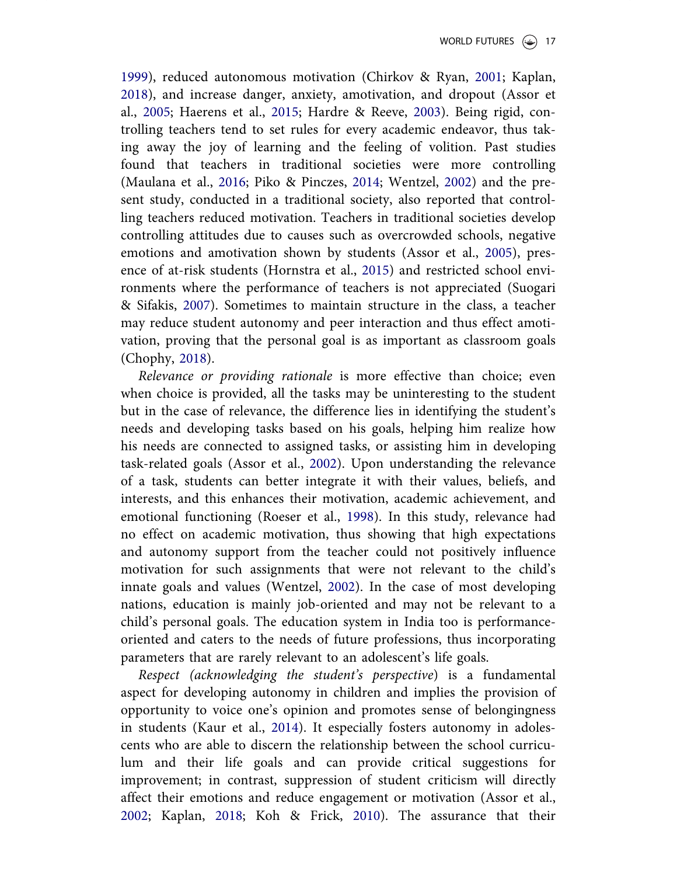1999), reduced autonomous motivation (Chirkov & Ryan, 2001; Kaplan, 2018), and increase danger, anxiety, amotivation, and dropout (Assor et al., 2005; Haerens et al., 2015; Hardre & Reeve, 2003). Being rigid, controlling teachers tend to set rules for every academic endeavor, thus taking away the joy of learning and the feeling of volition. Past studies found that teachers in traditional societies were more controlling (Maulana et al., 2016; Piko & Pinczes, 2014; Wentzel, 2002) and the present study, conducted in a traditional society, also reported that controlling teachers reduced motivation. Teachers in traditional societies develop controlling attitudes due to causes such as overcrowded schools, negative emotions and amotivation shown by students (Assor et al., 2005), presence of at-risk students (Hornstra et al., 2015) and restricted school environments where the performance of teachers is not appreciated (Suogari & Sifakis, 2007). Sometimes to maintain structure in the class, a teacher may reduce student autonomy and peer interaction and thus effect amotivation, proving that the personal goal is as important as classroom goals (Chophy, 2018).

Relevance or providing rationale is more effective than choice; even when choice is provided, all the tasks may be uninteresting to the student but in the case of relevance, the difference lies in identifying the student's needs and developing tasks based on his goals, helping him realize how his needs are connected to assigned tasks, or assisting him in developing task-related goals (Assor et al., 2002). Upon understanding the relevance of a task, students can better integrate it with their values, beliefs, and interests, and this enhances their motivation, academic achievement, and emotional functioning (Roeser et al., 1998). In this study, relevance had no effect on academic motivation, thus showing that high expectations and autonomy support from the teacher could not positively influence motivation for such assignments that were not relevant to the child's innate goals and values (Wentzel, 2002). In the case of most developing nations, education is mainly job-oriented and may not be relevant to a child's personal goals. The education system in India too is performanceoriented and caters to the needs of future professions, thus incorporating parameters that are rarely relevant to an adolescent's life goals.

Respect (acknowledging the student's perspective) is a fundamental aspect for developing autonomy in children and implies the provision of opportunity to voice one's opinion and promotes sense of belongingness in students (Kaur et al., 2014). It especially fosters autonomy in adolescents who are able to discern the relationship between the school curriculum and their life goals and can provide critical suggestions for improvement; in contrast, suppression of student criticism will directly affect their emotions and reduce engagement or motivation (Assor et al., 2002; Kaplan, 2018; Koh & Frick, 2010). The assurance that their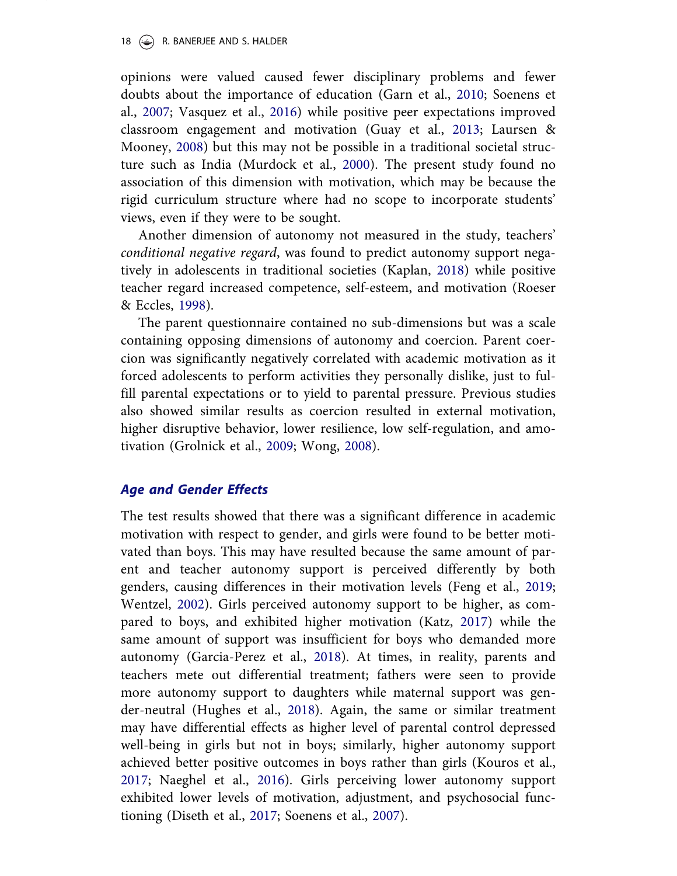opinions were valued caused fewer disciplinary problems and fewer doubts about the importance of education (Garn et al., 2010; Soenens et al., 2007; Vasquez et al., 2016) while positive peer expectations improved classroom engagement and motivation (Guay et al., 2013; Laursen & Mooney, 2008) but this may not be possible in a traditional societal structure such as India (Murdock et al., 2000). The present study found no association of this dimension with motivation, which may be because the rigid curriculum structure where had no scope to incorporate students' views, even if they were to be sought.

Another dimension of autonomy not measured in the study, teachers' conditional negative regard, was found to predict autonomy support negatively in adolescents in traditional societies (Kaplan, 2018) while positive teacher regard increased competence, self-esteem, and motivation (Roeser & Eccles, 1998).

The parent questionnaire contained no sub-dimensions but was a scale containing opposing dimensions of autonomy and coercion. Parent coercion was significantly negatively correlated with academic motivation as it forced adolescents to perform activities they personally dislike, just to fulfill parental expectations or to yield to parental pressure. Previous studies also showed similar results as coercion resulted in external motivation, higher disruptive behavior, lower resilience, low self-regulation, and amotivation (Grolnick et al., 2009; Wong, 2008).

### Age and Gender Effects

The test results showed that there was a significant difference in academic motivation with respect to gender, and girls were found to be better motivated than boys. This may have resulted because the same amount of parent and teacher autonomy support is perceived differently by both genders, causing differences in their motivation levels (Feng et al., 2019; Wentzel, 2002). Girls perceived autonomy support to be higher, as compared to boys, and exhibited higher motivation (Katz, 2017) while the same amount of support was insufficient for boys who demanded more autonomy (Garcia-Perez et al., 2018). At times, in reality, parents and teachers mete out differential treatment; fathers were seen to provide more autonomy support to daughters while maternal support was gender-neutral (Hughes et al., 2018). Again, the same or similar treatment may have differential effects as higher level of parental control depressed well-being in girls but not in boys; similarly, higher autonomy support achieved better positive outcomes in boys rather than girls (Kouros et al., 2017; Naeghel et al., 2016). Girls perceiving lower autonomy support exhibited lower levels of motivation, adjustment, and psychosocial functioning (Diseth et al., 2017; Soenens et al., 2007).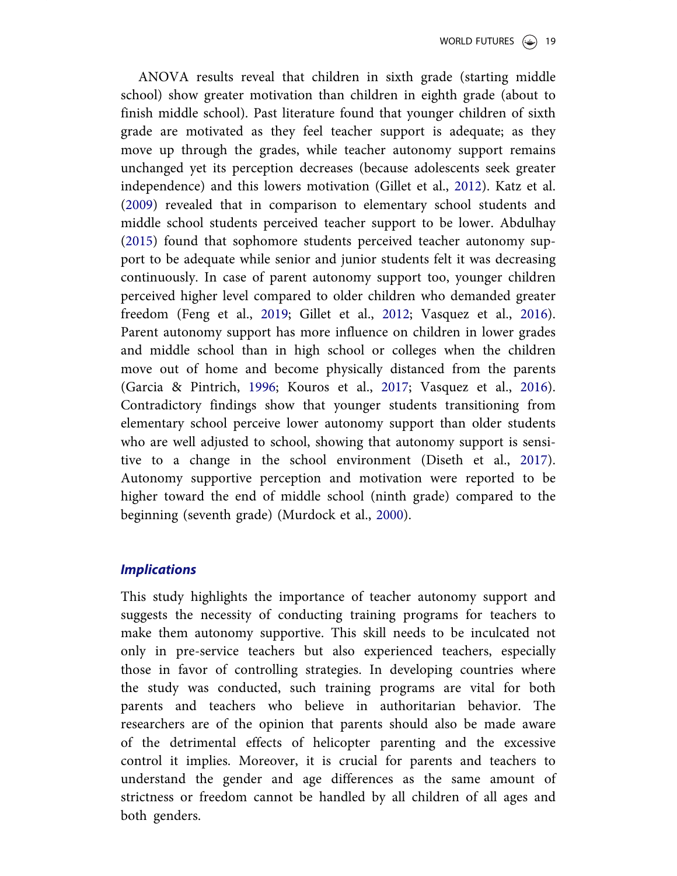ANOVA results reveal that children in sixth grade (starting middle school) show greater motivation than children in eighth grade (about to finish middle school). Past literature found that younger children of sixth grade are motivated as they feel teacher support is adequate; as they move up through the grades, while teacher autonomy support remains unchanged yet its perception decreases (because adolescents seek greater independence) and this lowers motivation (Gillet et al., 2012). Katz et al. (2009) revealed that in comparison to elementary school students and middle school students perceived teacher support to be lower. Abdulhay (2015) found that sophomore students perceived teacher autonomy support to be adequate while senior and junior students felt it was decreasing continuously. In case of parent autonomy support too, younger children perceived higher level compared to older children who demanded greater freedom (Feng et al., 2019; Gillet et al., 2012; Vasquez et al., 2016). Parent autonomy support has more influence on children in lower grades and middle school than in high school or colleges when the children move out of home and become physically distanced from the parents (Garcia & Pintrich, 1996; Kouros et al., 2017; Vasquez et al., 2016). Contradictory findings show that younger students transitioning from elementary school perceive lower autonomy support than older students who are well adjusted to school, showing that autonomy support is sensitive to a change in the school environment (Diseth et al., 2017). Autonomy supportive perception and motivation were reported to be higher toward the end of middle school (ninth grade) compared to the beginning (seventh grade) (Murdock et al., 2000).

### **Implications**

This study highlights the importance of teacher autonomy support and suggests the necessity of conducting training programs for teachers to make them autonomy supportive. This skill needs to be inculcated not only in pre-service teachers but also experienced teachers, especially those in favor of controlling strategies. In developing countries where the study was conducted, such training programs are vital for both parents and teachers who believe in authoritarian behavior. The researchers are of the opinion that parents should also be made aware of the detrimental effects of helicopter parenting and the excessive control it implies. Moreover, it is crucial for parents and teachers to understand the gender and age differences as the same amount of strictness or freedom cannot be handled by all children of all ages and both genders.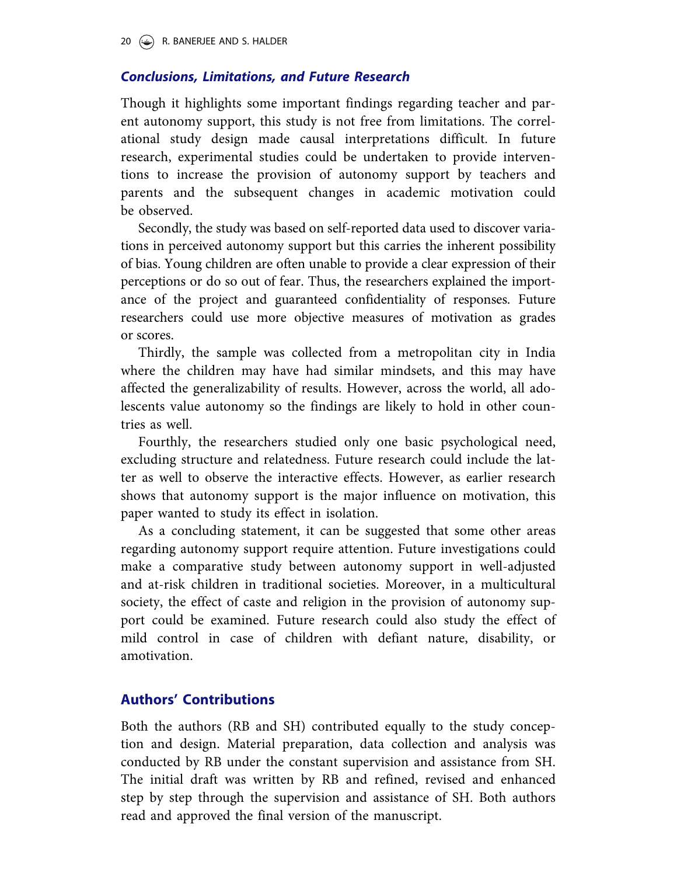### Conclusions, Limitations, and Future Research

Though it highlights some important findings regarding teacher and parent autonomy support, this study is not free from limitations. The correlational study design made causal interpretations difficult. In future research, experimental studies could be undertaken to provide interventions to increase the provision of autonomy support by teachers and parents and the subsequent changes in academic motivation could be observed.

Secondly, the study was based on self-reported data used to discover variations in perceived autonomy support but this carries the inherent possibility of bias. Young children are often unable to provide a clear expression of their perceptions or do so out of fear. Thus, the researchers explained the importance of the project and guaranteed confidentiality of responses. Future researchers could use more objective measures of motivation as grades or scores.

Thirdly, the sample was collected from a metropolitan city in India where the children may have had similar mindsets, and this may have affected the generalizability of results. However, across the world, all adolescents value autonomy so the findings are likely to hold in other countries as well.

Fourthly, the researchers studied only one basic psychological need, excluding structure and relatedness. Future research could include the latter as well to observe the interactive effects. However, as earlier research shows that autonomy support is the major influence on motivation, this paper wanted to study its effect in isolation.

As a concluding statement, it can be suggested that some other areas regarding autonomy support require attention. Future investigations could make a comparative study between autonomy support in well-adjusted and at-risk children in traditional societies. Moreover, in a multicultural society, the effect of caste and religion in the provision of autonomy support could be examined. Future research could also study the effect of mild control in case of children with defiant nature, disability, or amotivation.

# Authors' Contributions

Both the authors (RB and SH) contributed equally to the study conception and design. Material preparation, data collection and analysis was conducted by RB under the constant supervision and assistance from SH. The initial draft was written by RB and refined, revised and enhanced step by step through the supervision and assistance of SH. Both authors read and approved the final version of the manuscript.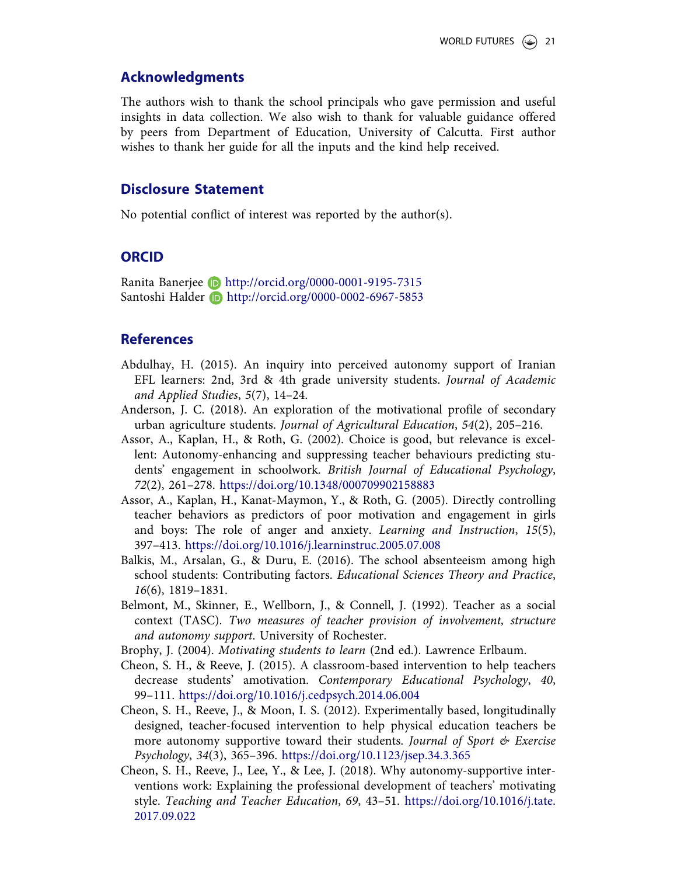### Acknowledgments

The authors wish to thank the school principals who gave permission and useful insights in data collection. We also wish to thank for valuable guidance offered by peers from Department of Education, University of Calcutta. First author wishes to thank her guide for all the inputs and the kind help received.

### Disclosure Statement

No potential conflict of interest was reported by the author(s).

### **ORCID**

Ranita Banerjee **b** http://orcid.org/0000-0001-9195-7315 Santoshi Halder **b** http://orcid.org/0000-0002-6967-5853

#### References

- Abdulhay, H. (2015). An inquiry into perceived autonomy support of Iranian EFL learners: 2nd, 3rd & 4th grade university students. Journal of Academic and Applied Studies, 5(7), 14–24.
- Anderson, J. C. (2018). An exploration of the motivational profile of secondary urban agriculture students. Journal of Agricultural Education, 54(2), 205–216.
- Assor, A., Kaplan, H., & Roth, G. (2002). Choice is good, but relevance is excellent: Autonomy-enhancing and suppressing teacher behaviours predicting students' engagement in schoolwork. British Journal of Educational Psychology, 72(2), 261–278. https://doi.org/10.1348/000709902158883
- Assor, A., Kaplan, H., Kanat-Maymon, Y., & Roth, G. (2005). Directly controlling teacher behaviors as predictors of poor motivation and engagement in girls and boys: The role of anger and anxiety. Learning and Instruction, 15(5), 397–413. https://doi.org/10.1016/j.learninstruc.2005.07.008
- Balkis, M., Arsalan, G., & Duru, E. (2016). The school absenteeism among high school students: Contributing factors. Educational Sciences Theory and Practice, 16(6), 1819–1831.
- Belmont, M., Skinner, E., Wellborn, J., & Connell, J. (1992). Teacher as a social context (TASC). Two measures of teacher provision of involvement, structure and autonomy support. University of Rochester.
- Brophy, J. (2004). Motivating students to learn (2nd ed.). Lawrence Erlbaum.
- Cheon, S. H., & Reeve, J. (2015). A classroom-based intervention to help teachers decrease students' amotivation. Contemporary Educational Psychology, 40, 99–111. https://doi.org/10.1016/j.cedpsych.2014.06.004
- Cheon, S. H., Reeve, J., & Moon, I. S. (2012). Experimentally based, longitudinally designed, teacher-focused intervention to help physical education teachers be more autonomy supportive toward their students. Journal of Sport  $\mathcal C$  Exercise Psychology, 34(3), 365–396. https://doi.org/10.1123/jsep.34.3.365
- Cheon, S. H., Reeve, J., Lee, Y., & Lee, J. (2018). Why autonomy-supportive interventions work: Explaining the professional development of teachers' motivating style. Teaching and Teacher Education, 69, 43–51. https://doi.org/10.1016/j.tate. 2017.09.022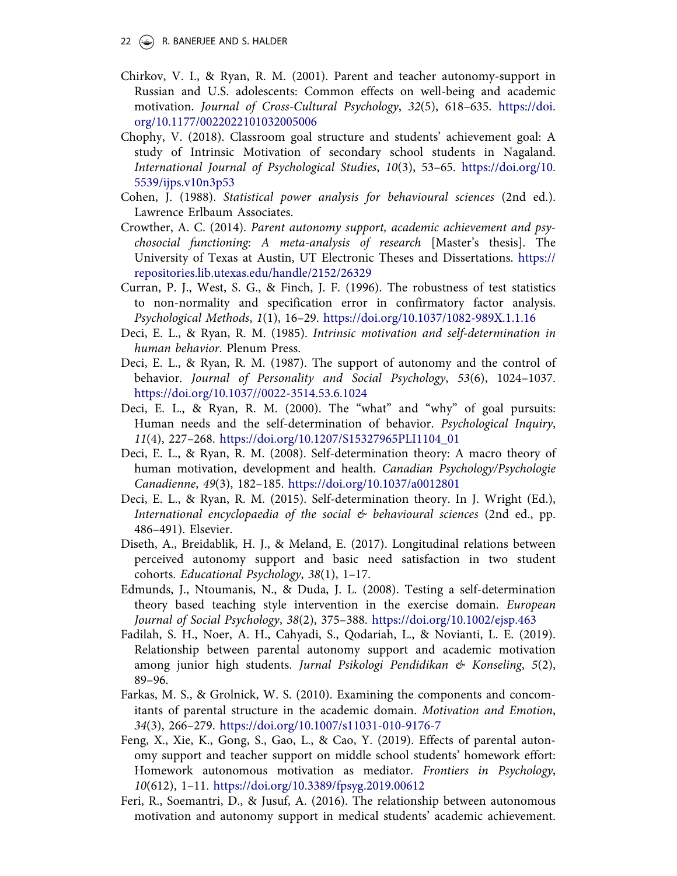- 22  $(\rightarrow)$  R. BANERJEE AND S. HALDER
- Chirkov, V. I., & Ryan, R. M. (2001). Parent and teacher autonomy-support in Russian and U.S. adolescents: Common effects on well-being and academic motivation. Journal of Cross-Cultural Psychology, 32(5), 618–635. https://doi. org/10.1177/0022022101032005006
- Chophy, V. (2018). Classroom goal structure and students' achievement goal: A study of Intrinsic Motivation of secondary school students in Nagaland. International Journal of Psychological Studies, 10(3), 53–65. https://doi.org/10. 5539/ijps.v10n3p53
- Cohen, J. (1988). Statistical power analysis for behavioural sciences (2nd ed.). Lawrence Erlbaum Associates.
- Crowther, A. C. (2014). Parent autonomy support, academic achievement and psychosocial functioning: A meta-analysis of research [Master's thesis]. The University of Texas at Austin, UT Electronic Theses and Dissertations. https:// repositories.lib.utexas.edu/handle/2152/26329
- Curran, P. J., West, S. G., & Finch, J. F. (1996). The robustness of test statistics to non-normality and specification error in confirmatory factor analysis. Psychological Methods, 1(1), 16–29. https://doi.org/10.1037/1082-989X.1.1.16
- Deci, E. L., & Ryan, R. M. (1985). Intrinsic motivation and self-determination in human behavior. Plenum Press.
- Deci, E. L., & Ryan, R. M. (1987). The support of autonomy and the control of behavior. Journal of Personality and Social Psychology, 53(6), 1024–1037. https://doi.org/10.1037//0022-3514.53.6.1024
- Deci, E. L., & Ryan, R. M. (2000). The "what" and "why" of goal pursuits: Human needs and the self-determination of behavior. Psychological Inquiry, 11(4), 227–268. https://doi.org/10.1207/S15327965PLI1104\_01
- Deci, E. L., & Ryan, R. M. (2008). Self-determination theory: A macro theory of human motivation, development and health. Canadian Psychology/Psychologie Canadienne, 49(3), 182–185. https://doi.org/10.1037/a0012801
- Deci, E. L., & Ryan, R. M. (2015). Self-determination theory. In J. Wright (Ed.), International encyclopaedia of the social  $\mathcal{E}$  behavioural sciences (2nd ed., pp. 486–491). Elsevier.
- Diseth, A., Breidablik, H. J., & Meland, E. (2017). Longitudinal relations between perceived autonomy support and basic need satisfaction in two student cohorts. Educational Psychology, 38(1), 1–17.
- Edmunds, J., Ntoumanis, N., & Duda, J. L. (2008). Testing a self-determination theory based teaching style intervention in the exercise domain. European Journal of Social Psychology, 38(2), 375–388. https://doi.org/10.1002/ejsp.463
- Fadilah, S. H., Noer, A. H., Cahyadi, S., Qodariah, L., & Novianti, L. E. (2019). Relationship between parental autonomy support and academic motivation among junior high students. Jurnal Psikologi Pendidikan  $\mathfrak{G}$  Konseling, 5(2), 89–96.
- Farkas, M. S., & Grolnick, W. S. (2010). Examining the components and concomitants of parental structure in the academic domain. Motivation and Emotion, 34(3), 266–279. https://doi.org/10.1007/s11031-010-9176-7
- Feng, X., Xie, K., Gong, S., Gao, L., & Cao, Y. (2019). Effects of parental autonomy support and teacher support on middle school students' homework effort: Homework autonomous motivation as mediator. Frontiers in Psychology, 10(612), 1–11. https://doi.org/10.3389/fpsyg.2019.00612
- Feri, R., Soemantri, D., & Jusuf, A. (2016). The relationship between autonomous motivation and autonomy support in medical students' academic achievement.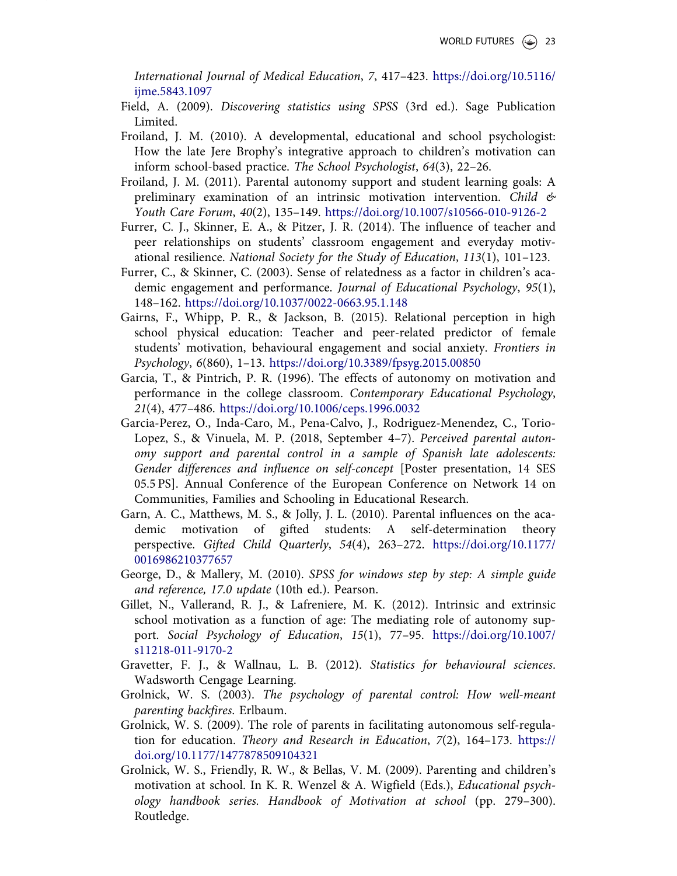International Journal of Medical Education, 7, 417–423. https://doi.org/10.5116/ ijme.5843.1097

- Field, A. (2009). Discovering statistics using SPSS (3rd ed.). Sage Publication Limited.
- Froiland, J. M. (2010). A developmental, educational and school psychologist: How the late Jere Brophy's integrative approach to children's motivation can inform school-based practice. The School Psychologist, 64(3), 22–26.
- Froiland, J. M. (2011). Parental autonomy support and student learning goals: A preliminary examination of an intrinsic motivation intervention. Child  $\mathcal{L}$ Youth Care Forum, 40(2), 135–149. https://doi.org/10.1007/s10566-010-9126-2
- Furrer, C. J., Skinner, E. A., & Pitzer, J. R. (2014). The influence of teacher and peer relationships on students' classroom engagement and everyday motivational resilience. National Society for the Study of Education, 113(1), 101–123.
- Furrer, C., & Skinner, C. (2003). Sense of relatedness as a factor in children's academic engagement and performance. Journal of Educational Psychology, 95(1), 148–162. https://doi.org/10.1037/0022-0663.95.1.148
- Gairns, F., Whipp, P. R., & Jackson, B. (2015). Relational perception in high school physical education: Teacher and peer-related predictor of female students' motivation, behavioural engagement and social anxiety. Frontiers in Psychology, 6(860), 1–13. https://doi.org/10.3389/fpsyg.2015.00850
- Garcia, T., & Pintrich, P. R. (1996). The effects of autonomy on motivation and performance in the college classroom. Contemporary Educational Psychology, 21(4), 477–486. https://doi.org/10.1006/ceps.1996.0032
- Garcia-Perez, O., Inda-Caro, M., Pena-Calvo, J., Rodriguez-Menendez, C., Torio-Lopez, S., & Vinuela, M. P. (2018, September 4–7). Perceived parental autonomy support and parental control in a sample of Spanish late adolescents: Gender differences and influence on self-concept [Poster presentation, 14 SES 05.5 PS]. Annual Conference of the European Conference on Network 14 on Communities, Families and Schooling in Educational Research.
- Garn, A. C., Matthews, M. S., & Jolly, J. L. (2010). Parental influences on the academic motivation of gifted students: A self-determination theory perspective. Gifted Child Quarterly, 54(4), 263–272. https://doi.org/10.1177/ 0016986210377657
- George, D., & Mallery, M. (2010). SPSS for windows step by step: A simple guide and reference, 17.0 update (10th ed.). Pearson.
- Gillet, N., Vallerand, R. J., & Lafreniere, M. K. (2012). Intrinsic and extrinsic school motivation as a function of age: The mediating role of autonomy support. Social Psychology of Education, 15(1), 77–95. https://doi.org/10.1007/ s11218-011-9170-2
- Gravetter, F. J., & Wallnau, L. B. (2012). Statistics for behavioural sciences. Wadsworth Cengage Learning.
- Grolnick, W. S. (2003). The psychology of parental control: How well-meant parenting backfires. Erlbaum.
- Grolnick, W. S. (2009). The role of parents in facilitating autonomous self-regulation for education. Theory and Research in Education, 7(2), 164–173. https:// doi.org/10.1177/1477878509104321
- Grolnick, W. S., Friendly, R. W., & Bellas, V. M. (2009). Parenting and children's motivation at school. In K. R. Wenzel & A. Wigfield (Eds.), Educational psychology handbook series. Handbook of Motivation at school (pp. 279–300). Routledge.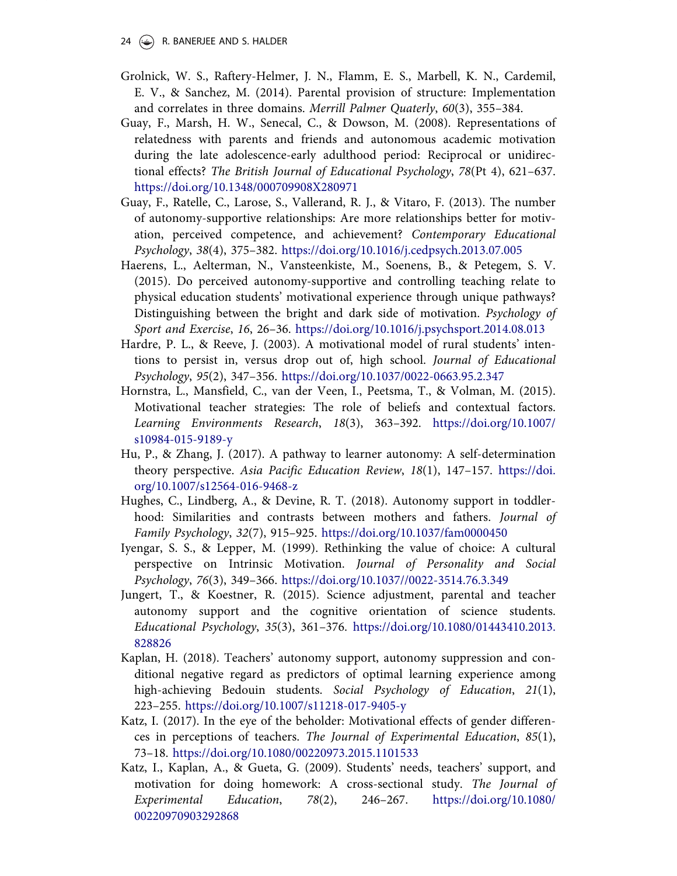- 24  $(\rightarrow)$  R. BANERJEE AND S. HALDER
- Grolnick, W. S., Raftery-Helmer, J. N., Flamm, E. S., Marbell, K. N., Cardemil, E. V., & Sanchez, M. (2014). Parental provision of structure: Implementation and correlates in three domains. Merrill Palmer Quaterly, 60(3), 355–384.
- Guay, F., Marsh, H. W., Senecal, C., & Dowson, M. (2008). Representations of relatedness with parents and friends and autonomous academic motivation during the late adolescence-early adulthood period: Reciprocal or unidirectional effects? The British Journal of Educational Psychology, 78(Pt 4), 621–637. https://doi.org/10.1348/000709908X280971
- Guay, F., Ratelle, C., Larose, S., Vallerand, R. J., & Vitaro, F. (2013). The number of autonomy-supportive relationships: Are more relationships better for motivation, perceived competence, and achievement? Contemporary Educational Psychology, 38(4), 375–382. https://doi.org/10.1016/j.cedpsych.2013.07.005
- Haerens, L., Aelterman, N., Vansteenkiste, M., Soenens, B., & Petegem, S. V. (2015). Do perceived autonomy-supportive and controlling teaching relate to physical education students' motivational experience through unique pathways? Distinguishing between the bright and dark side of motivation. Psychology of Sport and Exercise, 16, 26–36. https://doi.org/10.1016/j.psychsport.2014.08.013
- Hardre, P. L., & Reeve, J. (2003). A motivational model of rural students' intentions to persist in, versus drop out of, high school. Journal of Educational Psychology, 95(2), 347–356. https://doi.org/10.1037/0022-0663.95.2.347
- Hornstra, L., Mansfield, C., van der Veen, I., Peetsma, T., & Volman, M. (2015). Motivational teacher strategies: The role of beliefs and contextual factors. Learning Environments Research, 18(3), 363–392. https://doi.org/10.1007/ s10984-015-9189-y
- Hu, P., & Zhang, J. (2017). A pathway to learner autonomy: A self-determination theory perspective. Asia Pacific Education Review, 18(1), 147–157. https://doi. org/10.1007/s12564-016-9468-z
- Hughes, C., Lindberg, A., & Devine, R. T. (2018). Autonomy support in toddlerhood: Similarities and contrasts between mothers and fathers. Journal of Family Psychology, 32(7), 915–925. https://doi.org/10.1037/fam0000450
- Iyengar, S. S., & Lepper, M. (1999). Rethinking the value of choice: A cultural perspective on Intrinsic Motivation. Journal of Personality and Social Psychology, 76(3), 349–366. https://doi.org/10.1037//0022-3514.76.3.349
- Jungert, T., & Koestner, R. (2015). Science adjustment, parental and teacher autonomy support and the cognitive orientation of science students. Educational Psychology, 35(3), 361–376. https://doi.org/10.1080/01443410.2013. 828826
- Kaplan, H. (2018). Teachers' autonomy support, autonomy suppression and conditional negative regard as predictors of optimal learning experience among high-achieving Bedouin students. Social Psychology of Education, 21(1), 223–255. https://doi.org/10.1007/s11218-017-9405-y
- Katz, I. (2017). In the eye of the beholder: Motivational effects of gender differences in perceptions of teachers. The Journal of Experimental Education, 85(1), 73–18. https://doi.org/10.1080/00220973.2015.1101533
- Katz, I., Kaplan, A., & Gueta, G. (2009). Students' needs, teachers' support, and motivation for doing homework: A cross-sectional study. The Journal of Experimental Education, 78(2), 246–267. https://doi.org/10.1080/ 00220970903292868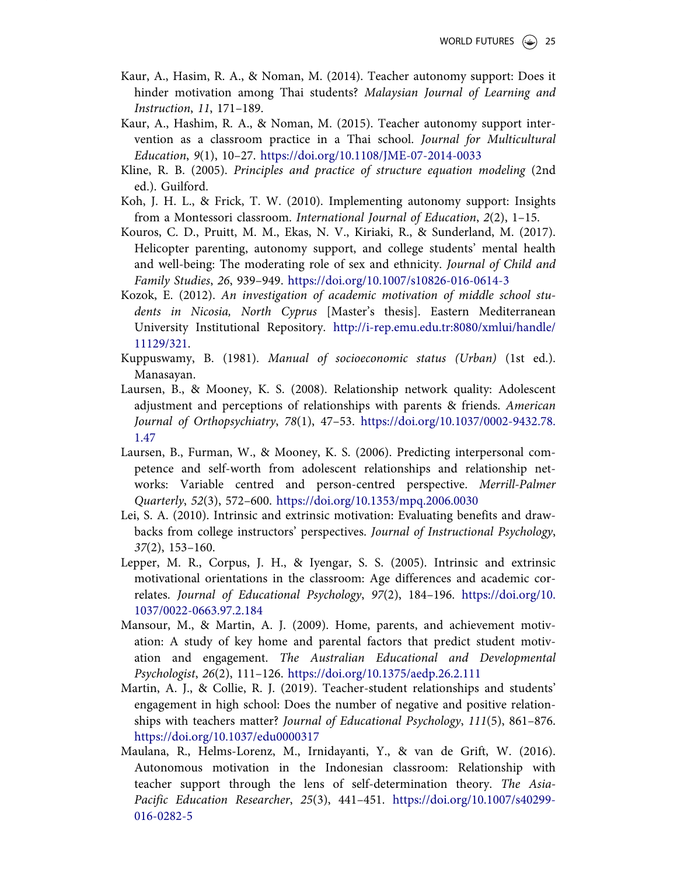- Kaur, A., Hasim, R. A., & Noman, M. (2014). Teacher autonomy support: Does it hinder motivation among Thai students? Malaysian Journal of Learning and Instruction, 11, 171–189.
- Kaur, A., Hashim, R. A., & Noman, M. (2015). Teacher autonomy support intervention as a classroom practice in a Thai school. Journal for Multicultural Education, 9(1), 10–27. https://doi.org/10.1108/JME-07-2014-0033
- Kline, R. B. (2005). Principles and practice of structure equation modeling (2nd ed.). Guilford.
- Koh, J. H. L., & Frick, T. W. (2010). Implementing autonomy support: Insights from a Montessori classroom. International Journal of Education, 2(2), 1–15.
- Kouros, C. D., Pruitt, M. M., Ekas, N. V., Kiriaki, R., & Sunderland, M. (2017). Helicopter parenting, autonomy support, and college students' mental health and well-being: The moderating role of sex and ethnicity. Journal of Child and Family Studies, 26, 939–949. https://doi.org/10.1007/s10826-016-0614-3
- Kozok, E. (2012). An investigation of academic motivation of middle school students in Nicosia, North Cyprus [Master's thesis]. Eastern Mediterranean University Institutional Repository. http://i-rep.emu.edu.tr:8080/xmlui/handle/ 11129/321.
- Kuppuswamy, B. (1981). Manual of socioeconomic status (Urban) (1st ed.). Manasayan.
- Laursen, B., & Mooney, K. S. (2008). Relationship network quality: Adolescent adjustment and perceptions of relationships with parents & friends. American Journal of Orthopsychiatry, 78(1), 47–53. https://doi.org/10.1037/0002-9432.78. 1.47
- Laursen, B., Furman, W., & Mooney, K. S. (2006). Predicting interpersonal competence and self-worth from adolescent relationships and relationship networks: Variable centred and person-centred perspective. Merrill-Palmer Quarterly, 52(3), 572–600. https://doi.org/10.1353/mpq.2006.0030
- Lei, S. A. (2010). Intrinsic and extrinsic motivation: Evaluating benefits and drawbacks from college instructors' perspectives. Journal of Instructional Psychology, 37(2), 153–160.
- Lepper, M. R., Corpus, J. H., & Iyengar, S. S. (2005). Intrinsic and extrinsic motivational orientations in the classroom: Age differences and academic correlates. Journal of Educational Psychology, 97(2), 184–196. https://doi.org/10. 1037/0022-0663.97.2.184
- Mansour, M., & Martin, A. J. (2009). Home, parents, and achievement motivation: A study of key home and parental factors that predict student motivation and engagement. The Australian Educational and Developmental Psychologist, 26(2), 111–126. https://doi.org/10.1375/aedp.26.2.111
- Martin, A. J., & Collie, R. J. (2019). Teacher-student relationships and students' engagement in high school: Does the number of negative and positive relationships with teachers matter? Journal of Educational Psychology, 111(5), 861–876. https://doi.org/10.1037/edu0000317
- Maulana, R., Helms-Lorenz, M., Irnidayanti, Y., & van de Grift, W. (2016). Autonomous motivation in the Indonesian classroom: Relationship with teacher support through the lens of self-determination theory. The Asia-Pacific Education Researcher, 25(3), 441–451. https://doi.org/10.1007/s40299- 016-0282-5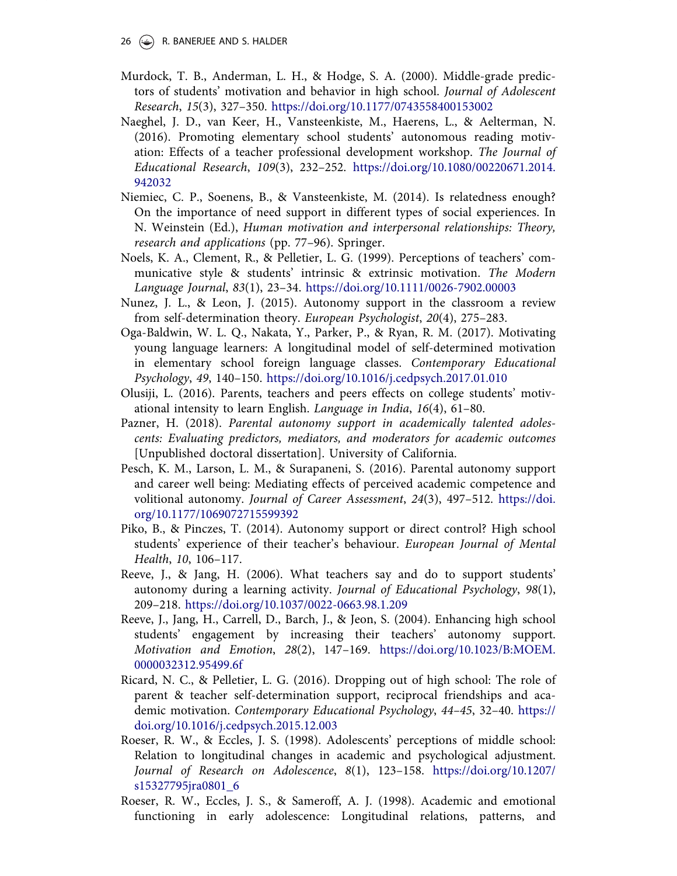- Murdock, T. B., Anderman, L. H., & Hodge, S. A. (2000). Middle-grade predictors of students' motivation and behavior in high school. Journal of Adolescent Research, 15(3), 327–350. https://doi.org/10.1177/0743558400153002
- Naeghel, J. D., van Keer, H., Vansteenkiste, M., Haerens, L., & Aelterman, N. (2016). Promoting elementary school students' autonomous reading motivation: Effects of a teacher professional development workshop. The Journal of Educational Research, 109(3), 232–252. https://doi.org/10.1080/00220671.2014. 942032
- Niemiec, C. P., Soenens, B., & Vansteenkiste, M. (2014). Is relatedness enough? On the importance of need support in different types of social experiences. In N. Weinstein (Ed.), Human motivation and interpersonal relationships: Theory, research and applications (pp. 77–96). Springer.
- Noels, K. A., Clement, R., & Pelletier, L. G. (1999). Perceptions of teachers' communicative style & students' intrinsic & extrinsic motivation. The Modern Language Journal, 83(1), 23–34. https://doi.org/10.1111/0026-7902.00003
- Nunez, J. L., & Leon, J. (2015). Autonomy support in the classroom a review from self-determination theory. European Psychologist, 20(4), 275–283.
- Oga-Baldwin, W. L. Q., Nakata, Y., Parker, P., & Ryan, R. M. (2017). Motivating young language learners: A longitudinal model of self-determined motivation in elementary school foreign language classes. Contemporary Educational Psychology, 49, 140–150. https://doi.org/10.1016/j.cedpsych.2017.01.010
- Olusiji, L. (2016). Parents, teachers and peers effects on college students' motivational intensity to learn English. Language in India, 16(4), 61–80.
- Pazner, H. (2018). Parental autonomy support in academically talented adolescents: Evaluating predictors, mediators, and moderators for academic outcomes [Unpublished doctoral dissertation]. University of California.
- Pesch, K. M., Larson, L. M., & Surapaneni, S. (2016). Parental autonomy support and career well being: Mediating effects of perceived academic competence and volitional autonomy. Journal of Career Assessment, 24(3), 497–512. https://doi. org/10.1177/1069072715599392
- Piko, B., & Pinczes, T. (2014). Autonomy support or direct control? High school students' experience of their teacher's behaviour. European Journal of Mental Health, 10, 106–117.
- Reeve, J., & Jang, H. (2006). What teachers say and do to support students' autonomy during a learning activity. Journal of Educational Psychology, 98(1), 209–218. https://doi.org/10.1037/0022-0663.98.1.209
- Reeve, J., Jang, H., Carrell, D., Barch, J., & Jeon, S. (2004). Enhancing high school students' engagement by increasing their teachers' autonomy support. Motivation and Emotion, 28(2), 147–169. https://doi.org/10.1023/B:MOEM. 0000032312.95499.6f
- Ricard, N. C., & Pelletier, L. G. (2016). Dropping out of high school: The role of parent & teacher self-determination support, reciprocal friendships and academic motivation. Contemporary Educational Psychology, 44–45, 32–40. https:// doi.org/10.1016/j.cedpsych.2015.12.003
- Roeser, R. W., & Eccles, J. S. (1998). Adolescents' perceptions of middle school: Relation to longitudinal changes in academic and psychological adjustment. Journal of Research on Adolescence, 8(1), 123–158. https://doi.org/10.1207/ s15327795jra0801\_6
- Roeser, R. W., Eccles, J. S., & Sameroff, A. J. (1998). Academic and emotional functioning in early adolescence: Longitudinal relations, patterns, and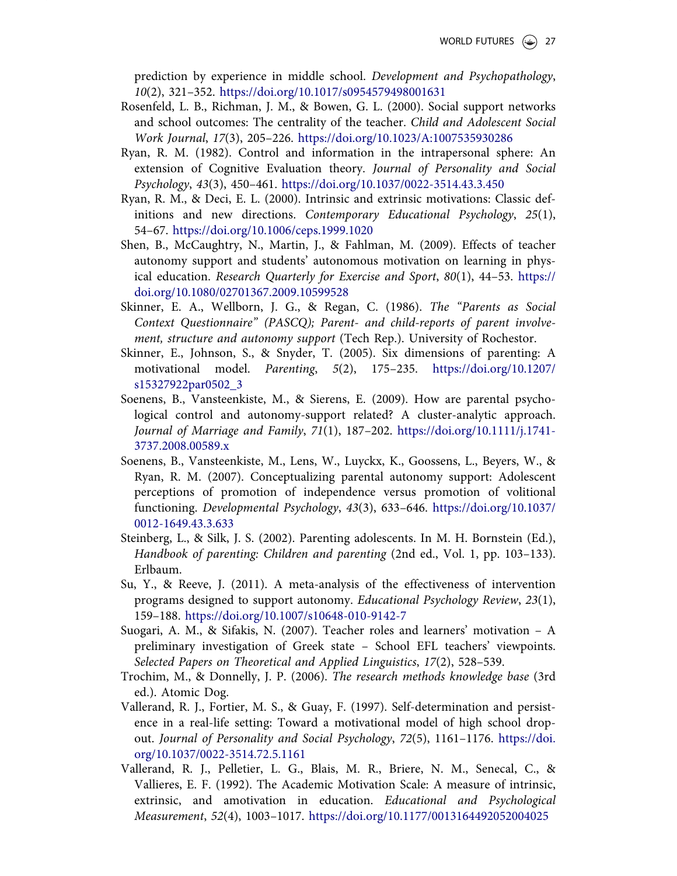prediction by experience in middle school. Development and Psychopathology, 10(2), 321–352. https://doi.org/10.1017/s0954579498001631

- Rosenfeld, L. B., Richman, J. M., & Bowen, G. L. (2000). Social support networks and school outcomes: The centrality of the teacher. Child and Adolescent Social Work Journal, 17(3), 205–226. https://doi.org/10.1023/A:1007535930286
- Ryan, R. M. (1982). Control and information in the intrapersonal sphere: An extension of Cognitive Evaluation theory. Journal of Personality and Social Psychology, 43(3), 450–461. https://doi.org/10.1037/0022-3514.43.3.450
- Ryan, R. M., & Deci, E. L. (2000). Intrinsic and extrinsic motivations: Classic definitions and new directions. Contemporary Educational Psychology, 25(1), 54–67. https://doi.org/10.1006/ceps.1999.1020
- Shen, B., McCaughtry, N., Martin, J., & Fahlman, M. (2009). Effects of teacher autonomy support and students' autonomous motivation on learning in physical education. Research Quarterly for Exercise and Sport, 80(1), 44–53. https:// doi.org/10.1080/02701367.2009.10599528
- Skinner, E. A., Wellborn, J. G., & Regan, C. (1986). The "Parents as Social Context Questionnaire" (PASCQ); Parent- and child-reports of parent involvement, structure and autonomy support (Tech Rep.). University of Rochestor.
- Skinner, E., Johnson, S., & Snyder, T. (2005). Six dimensions of parenting: A motivational model. Parenting, 5(2), 175–235. https://doi.org/10.1207/ s15327922par0502\_3
- Soenens, B., Vansteenkiste, M., & Sierens, E. (2009). How are parental psychological control and autonomy-support related? A cluster-analytic approach. Journal of Marriage and Family, 71(1), 187–202. https://doi.org/10.1111/j.1741- 3737.2008.00589.x
- Soenens, B., Vansteenkiste, M., Lens, W., Luyckx, K., Goossens, L., Beyers, W., & Ryan, R. M. (2007). Conceptualizing parental autonomy support: Adolescent perceptions of promotion of independence versus promotion of volitional functioning. Developmental Psychology, 43(3), 633–646. https://doi.org/10.1037/ 0012-1649.43.3.633
- Steinberg, L., & Silk, J. S. (2002). Parenting adolescents. In M. H. Bornstein (Ed.), Handbook of parenting: Children and parenting (2nd ed., Vol. 1, pp. 103–133). Erlbaum.
- Su, Y., & Reeve, J. (2011). A meta-analysis of the effectiveness of intervention programs designed to support autonomy. Educational Psychology Review, 23(1), 159–188. https://doi.org/10.1007/s10648-010-9142-7
- Suogari, A. M., & Sifakis, N. (2007). Teacher roles and learners' motivation A preliminary investigation of Greek state – School EFL teachers' viewpoints. Selected Papers on Theoretical and Applied Linguistics, 17(2), 528–539.
- Trochim, M., & Donnelly, J. P. (2006). The research methods knowledge base (3rd ed.). Atomic Dog.
- Vallerand, R. J., Fortier, M. S., & Guay, F. (1997). Self-determination and persistence in a real-life setting: Toward a motivational model of high school dropout. Journal of Personality and Social Psychology, 72(5), 1161–1176. https://doi. org/10.1037/0022-3514.72.5.1161
- Vallerand, R. J., Pelletier, L. G., Blais, M. R., Briere, N. M., Senecal, C., & Vallieres, E. F. (1992). The Academic Motivation Scale: A measure of intrinsic, extrinsic, and amotivation in education. Educational and Psychological Measurement, 52(4), 1003–1017. https://doi.org/10.1177/0013164492052004025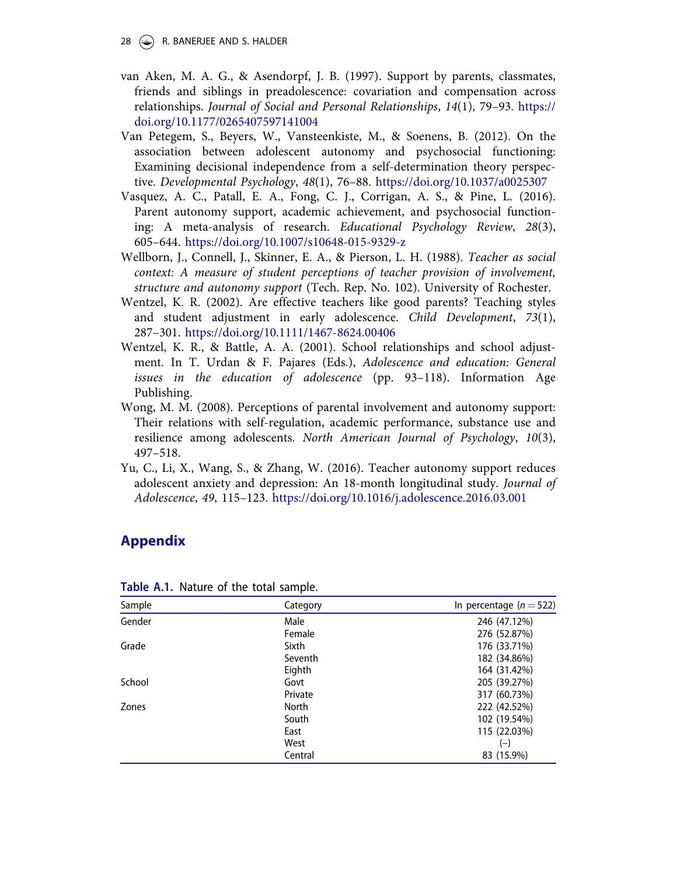- van Aken, M. A. G., & Asendorpf, J. B. (1997). Support by parents, classmates, friends and siblings in preadolescence: covariation and compensation across relationships. Journal of Social and Personal Relationships, 14(1), 79–93. https:// doi.org/10.1177/0265407597141004
- Van Petegem, S., Beyers, W., Vansteenkiste, M., & Soenens, B. (2012). On the association between adolescent autonomy and psychosocial functioning: Examining decisional independence from a self-determination theory perspective. Developmental Psychology, 48(1), 76–88. https://doi.org/10.1037/a0025307
- Vasquez, A. C., Patall, E. A., Fong, C. J., Corrigan, A. S., & Pine, L. (2016). Parent autonomy support, academic achievement, and psychosocial functioning: A meta-analysis of research. Educational Psychology Review, 28(3), 605–644. https://doi.org/10.1007/s10648-015-9329-z
- Wellborn, J., Connell, J., Skinner, E. A., & Pierson, L. H. (1988). Teacher as social context: A measure of student perceptions of teacher provision of involvement, structure and autonomy support (Tech. Rep. No. 102). University of Rochester.
- Wentzel, K. R. (2002). Are effective teachers like good parents? Teaching styles and student adjustment in early adolescence. Child Development, 73(1), 287–301. https://doi.org/10.1111/1467-8624.00406
- Wentzel, K. R., & Battle, A. A. (2001). School relationships and school adjustment. In T. Urdan & F. Pajares (Eds.), Adolescence and education: General issues in the education of adolescence (pp. 93–118). Information Age Publishing.
- Wong, M. M. (2008). Perceptions of parental involvement and autonomy support: Their relations with self-regulation, academic performance, substance use and resilience among adolescents. North American Journal of Psychology, 10(3), 497–518.
- Yu, C., Li, X., Wang, S., & Zhang, W. (2016). Teacher autonomy support reduces adolescent anxiety and depression: An 18-month longitudinal study. Journal of Adolescence, 49, 115–123. https://doi.org/10.1016/j.adolescence.2016.03.001

# Appendix

| Sample | Category     | In percentage $(n=522)$ |
|--------|--------------|-------------------------|
| Gender | Male         | 246 (47.12%)            |
|        | Female       | 276 (52.87%)            |
| Grade  | Sixth        | 176 (33.71%)            |
|        | Seventh      | 182 (34.86%)            |
|        | Eighth       | 164 (31.42%)            |
| School | Govt         | 205 (39.27%)            |
|        | Private      | 317 (60.73%)            |
| Zones  | <b>North</b> | 222 (42.52%)            |
|        | South        | 102 (19.54%)            |
|        | East         | 115 (22.03%)            |
|        | West         | $(-)$                   |
|        | Central      | 83 (15.9%)              |

Table A.1. Nature of the total sample.